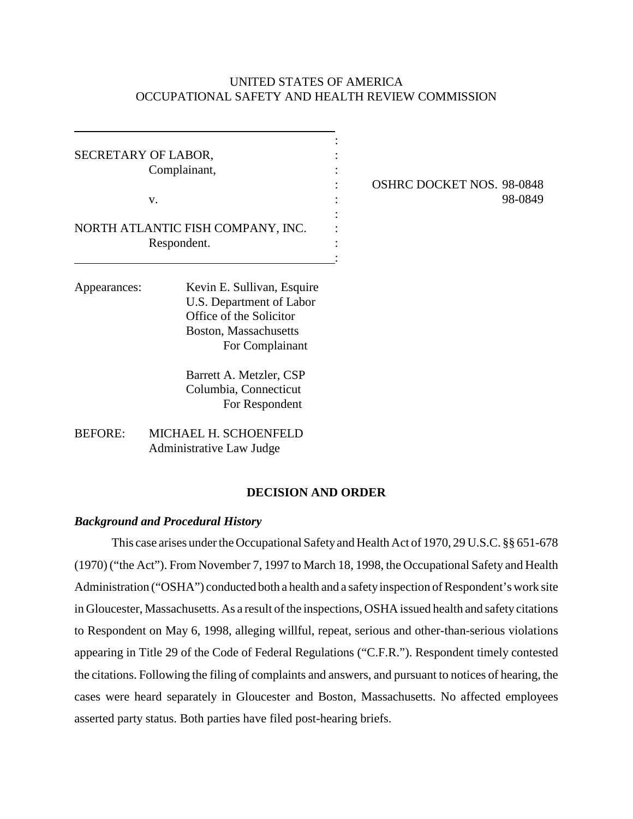# UNITED STATES OF AMERICA OCCUPATIONAL SAFETY AND HEALTH REVIEW COMMISSION

SECRETARY OF LABOR, Complainant, v. NORTH ATLANTIC FISH COMPANY, INC. Respondent. : : : : : : : : : Appearances: Kevin E. Sullivan, Esquire U.S. Department of Labor Office of the Solicitor Boston, Massachusetts For Complainant Barrett A. Metzler, CSP Columbia, Connecticut For Respondent

BEFORE: MICHAEL H. SCHOENFELD Administrative Law Judge

### **DECISION AND ORDER**

#### *Background and Procedural History*

This case arises under the Occupational Safety and Health Act of 1970, 29 U.S.C. §§ 651-678 (1970) ("the Act"). From November 7, 1997 to March 18, 1998, the Occupational Safety and Health Administration ("OSHA") conducted both a health and a safety inspection of Respondent's work site in Gloucester, Massachusetts. As a result of the inspections, OSHA issued health and safety citations to Respondent on May 6, 1998, alleging willful, repeat, serious and other-than-serious violations appearing in Title 29 of the Code of Federal Regulations ("C.F.R."). Respondent timely contested the citations. Following the filing of complaints and answers, and pursuant to notices of hearing, the cases were heard separately in Gloucester and Boston, Massachusetts. No affected employees asserted party status. Both parties have filed post-hearing briefs.

OSHRC DOCKET NOS. 98-0848 98-0849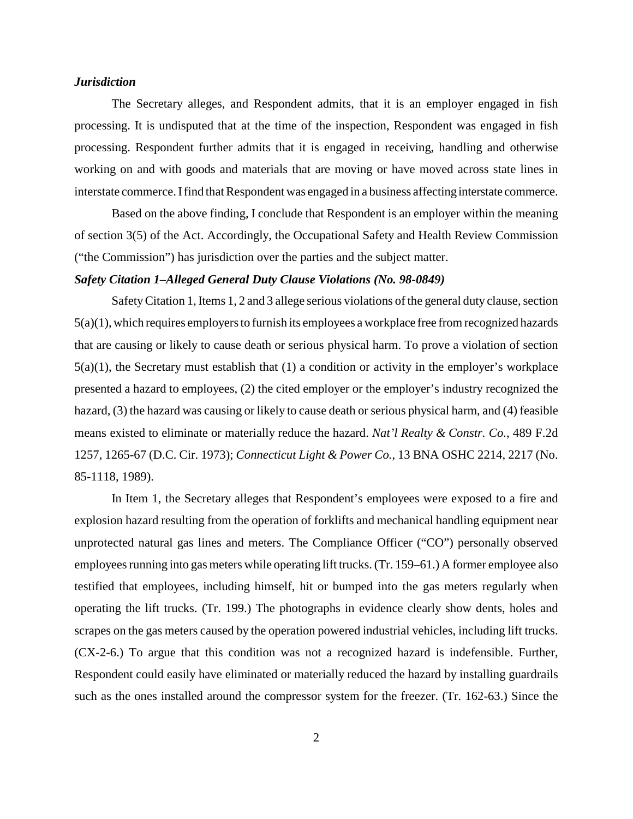### *Jurisdiction*

The Secretary alleges, and Respondent admits, that it is an employer engaged in fish processing. It is undisputed that at the time of the inspection, Respondent was engaged in fish processing. Respondent further admits that it is engaged in receiving, handling and otherwise working on and with goods and materials that are moving or have moved across state lines in interstate commerce. I find that Respondent was engaged in a business affecting interstate commerce.

Based on the above finding, I conclude that Respondent is an employer within the meaning of section 3(5) of the Act. Accordingly, the Occupational Safety and Health Review Commission ("the Commission") has jurisdiction over the parties and the subject matter.

#### *Safety Citation 1–Alleged General Duty Clause Violations (No. 98-0849)*

Safety Citation 1, Items 1, 2 and 3 allege serious violations of the general duty clause, section 5(a)(1), which requires employers to furnish its employees a workplace free from recognized hazards that are causing or likely to cause death or serious physical harm. To prove a violation of section  $5(a)(1)$ , the Secretary must establish that  $(1)$  a condition or activity in the employer's workplace presented a hazard to employees, (2) the cited employer or the employer's industry recognized the hazard, (3) the hazard was causing or likely to cause death or serious physical harm, and (4) feasible means existed to eliminate or materially reduce the hazard. *Nat'l Realty & Constr. Co.*, 489 F.2d 1257, 1265-67 (D.C. Cir. 1973); *Connecticut Light & Power Co.*, 13 BNA OSHC 2214, 2217 (No. 85-1118, 1989).

In Item 1, the Secretary alleges that Respondent's employees were exposed to a fire and explosion hazard resulting from the operation of forklifts and mechanical handling equipment near unprotected natural gas lines and meters. The Compliance Officer ("CO") personally observed employees running into gas meters while operating lift trucks. (Tr. 159–61.) A former employee also testified that employees, including himself, hit or bumped into the gas meters regularly when operating the lift trucks. (Tr. 199.) The photographs in evidence clearly show dents, holes and scrapes on the gas meters caused by the operation powered industrial vehicles, including lift trucks. (CX-2-6.) To argue that this condition was not a recognized hazard is indefensible. Further, Respondent could easily have eliminated or materially reduced the hazard by installing guardrails such as the ones installed around the compressor system for the freezer. (Tr. 162-63.) Since the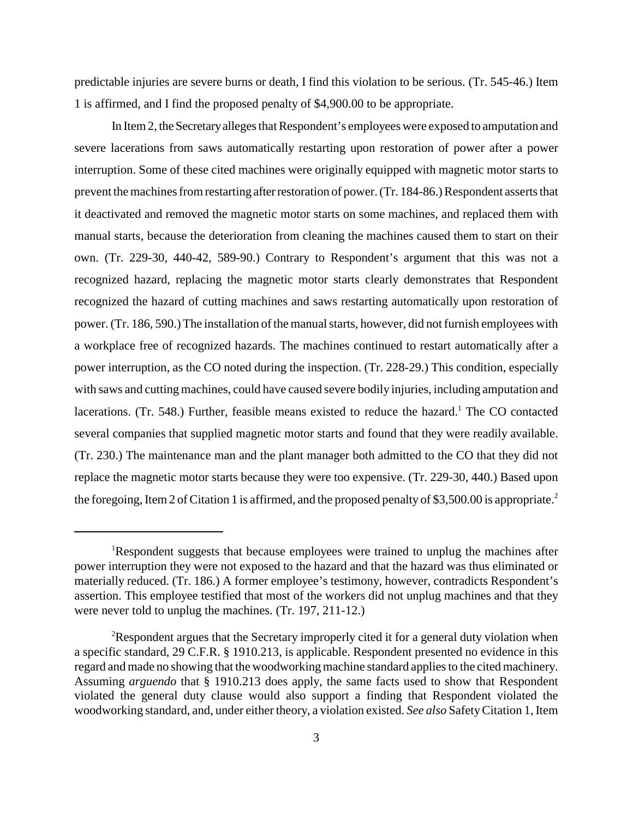predictable injuries are severe burns or death, I find this violation to be serious. (Tr. 545-46.) Item 1 is affirmed, and I find the proposed penalty of \$4,900.00 to be appropriate.

In Item 2, the Secretary alleges that Respondent's employees were exposed to amputation and severe lacerations from saws automatically restarting upon restoration of power after a power interruption. Some of these cited machines were originally equipped with magnetic motor starts to prevent the machines from restarting after restoration of power. (Tr. 184-86.) Respondent asserts that it deactivated and removed the magnetic motor starts on some machines, and replaced them with manual starts, because the deterioration from cleaning the machines caused them to start on their own. (Tr. 229-30, 440-42, 589-90.) Contrary to Respondent's argument that this was not a recognized hazard, replacing the magnetic motor starts clearly demonstrates that Respondent recognized the hazard of cutting machines and saws restarting automatically upon restoration of power. (Tr. 186, 590.) The installation of the manual starts, however, did not furnish employees with a workplace free of recognized hazards. The machines continued to restart automatically after a power interruption, as the CO noted during the inspection. (Tr. 228-29.) This condition, especially with saws and cutting machines, could have caused severe bodily injuries, including amputation and lacerations. (Tr. 548.) Further, feasible means existed to reduce the hazard.<sup>1</sup> The CO contacted several companies that supplied magnetic motor starts and found that they were readily available. (Tr. 230.) The maintenance man and the plant manager both admitted to the CO that they did not replace the magnetic motor starts because they were too expensive. (Tr. 229-30, 440.) Based upon the foregoing, Item 2 of Citation 1 is affirmed, and the proposed penalty of \$3,500.00 is appropriate.<sup>2</sup>

<sup>&</sup>lt;sup>1</sup>Respondent suggests that because employees were trained to unplug the machines after power interruption they were not exposed to the hazard and that the hazard was thus eliminated or materially reduced. (Tr. 186.) A former employee's testimony, however, contradicts Respondent's assertion. This employee testified that most of the workers did not unplug machines and that they were never told to unplug the machines. (Tr. 197, 211-12.)

<sup>&</sup>lt;sup>2</sup>Respondent argues that the Secretary improperly cited it for a general duty violation when a specific standard, 29 C.F.R. § 1910.213, is applicable. Respondent presented no evidence in this regard and made no showing that the woodworking machine standard applies to the cited machinery. Assuming *arguendo* that § 1910.213 does apply, the same facts used to show that Respondent violated the general duty clause would also support a finding that Respondent violated the woodworking standard, and, under either theory, a violation existed. *See also* Safety Citation 1, Item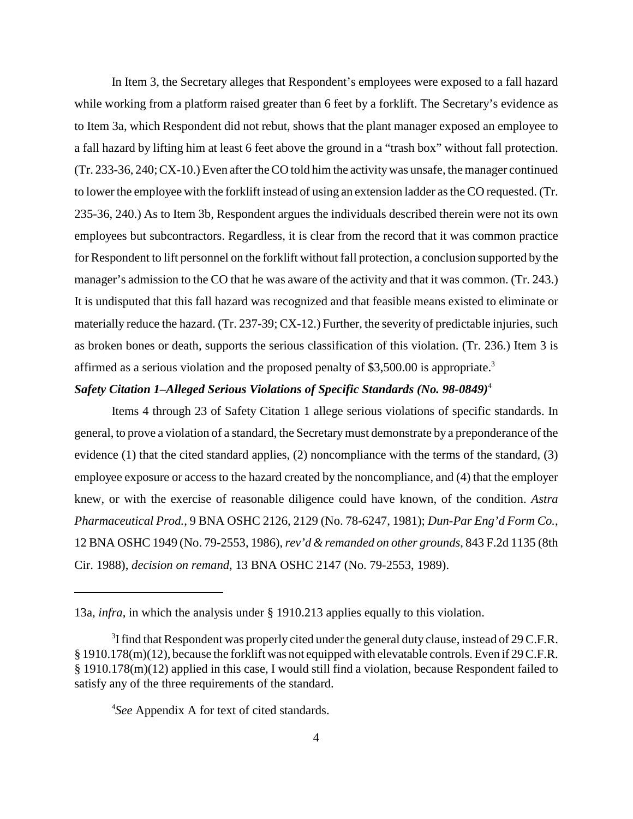In Item 3, the Secretary alleges that Respondent's employees were exposed to a fall hazard while working from a platform raised greater than 6 feet by a forklift. The Secretary's evidence as to Item 3a, which Respondent did not rebut, shows that the plant manager exposed an employee to a fall hazard by lifting him at least 6 feet above the ground in a "trash box" without fall protection. (Tr. 233-36, 240; CX-10.) Even after the CO told him the activity was unsafe, the manager continued to lower the employee with the forklift instead of using an extension ladder as the CO requested. (Tr. 235-36, 240.) As to Item 3b, Respondent argues the individuals described therein were not its own employees but subcontractors. Regardless, it is clear from the record that it was common practice for Respondent to lift personnel on the forklift without fall protection, a conclusion supported by the manager's admission to the CO that he was aware of the activity and that it was common. (Tr. 243.) It is undisputed that this fall hazard was recognized and that feasible means existed to eliminate or materially reduce the hazard. (Tr. 237-39; CX-12.) Further, the severity of predictable injuries, such as broken bones or death, supports the serious classification of this violation. (Tr. 236.) Item 3 is affirmed as a serious violation and the proposed penalty of \$3,500.00 is appropriate.<sup>3</sup>

## *Safety Citation 1–Alleged Serious Violations of Specific Standards (No. 98-0849)*<sup>4</sup>

Items 4 through 23 of Safety Citation 1 allege serious violations of specific standards. In general, to prove a violation of a standard, the Secretarymust demonstrate by a preponderance of the evidence (1) that the cited standard applies, (2) noncompliance with the terms of the standard, (3) employee exposure or access to the hazard created by the noncompliance, and (4) that the employer knew, or with the exercise of reasonable diligence could have known, of the condition. *Astra Pharmaceutical Prod.*, 9 BNA OSHC 2126, 2129 (No. 78-6247, 1981); *Dun-Par Eng'd Form Co.*, 12 BNA OSHC 1949 (No. 79-2553, 1986), *rev'd & remanded on other grounds*, 843 F.2d 1135 (8th Cir. 1988), *decision on remand*, 13 BNA OSHC 2147 (No. 79-2553, 1989).

4 *See* Appendix A for text of cited standards.

<sup>13</sup>a, *infra*, in which the analysis under § 1910.213 applies equally to this violation.

 $3$ I find that Respondent was properly cited under the general duty clause, instead of 29 C.F.R. § 1910.178(m)(12), because the forklift was not equipped with elevatable controls. Even if 29 C.F.R. § 1910.178(m)(12) applied in this case, I would still find a violation, because Respondent failed to satisfy any of the three requirements of the standard.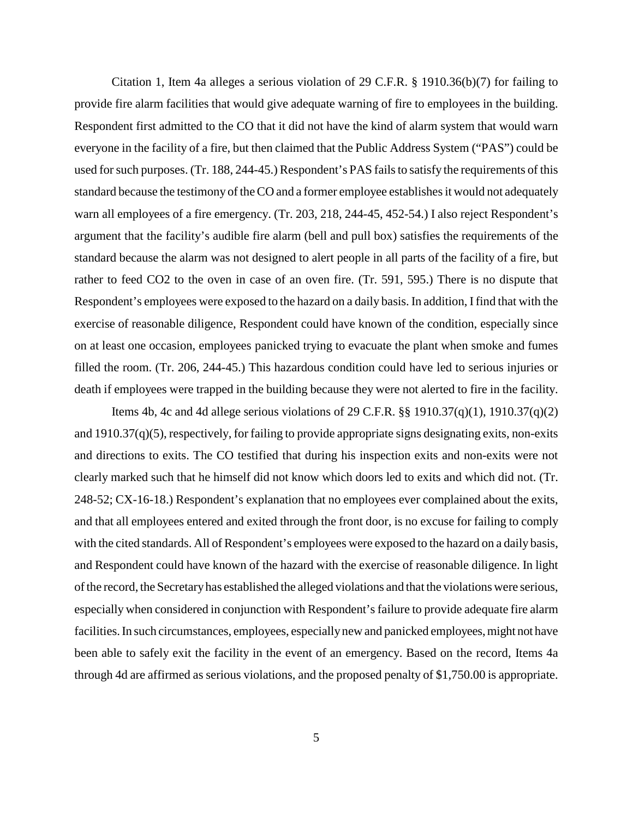Citation 1, Item 4a alleges a serious violation of 29 C.F.R. § 1910.36(b)(7) for failing to provide fire alarm facilities that would give adequate warning of fire to employees in the building. Respondent first admitted to the CO that it did not have the kind of alarm system that would warn everyone in the facility of a fire, but then claimed that the Public Address System ("PAS") could be used for such purposes. (Tr. 188, 244-45.) Respondent's PAS fails to satisfy the requirements of this standard because the testimony of the CO and a former employee establishes it would not adequately warn all employees of a fire emergency. (Tr. 203, 218, 244-45, 452-54.) I also reject Respondent's argument that the facility's audible fire alarm (bell and pull box) satisfies the requirements of the standard because the alarm was not designed to alert people in all parts of the facility of a fire, but rather to feed CO2 to the oven in case of an oven fire. (Tr. 591, 595.) There is no dispute that Respondent's employees were exposed to the hazard on a daily basis. In addition, I find that with the exercise of reasonable diligence, Respondent could have known of the condition, especially since on at least one occasion, employees panicked trying to evacuate the plant when smoke and fumes filled the room. (Tr. 206, 244-45.) This hazardous condition could have led to serious injuries or death if employees were trapped in the building because they were not alerted to fire in the facility.

Items 4b, 4c and 4d allege serious violations of 29 C.F.R. §§ 1910.37(q)(1), 1910.37(q)(2) and 1910.37(q)(5), respectively, for failing to provide appropriate signs designating exits, non-exits and directions to exits. The CO testified that during his inspection exits and non-exits were not clearly marked such that he himself did not know which doors led to exits and which did not. (Tr. 248-52; CX-16-18.) Respondent's explanation that no employees ever complained about the exits, and that all employees entered and exited through the front door, is no excuse for failing to comply with the cited standards. All of Respondent's employees were exposed to the hazard on a daily basis, and Respondent could have known of the hazard with the exercise of reasonable diligence. In light of the record, the Secretary has established the alleged violations and that the violations were serious, especially when considered in conjunction with Respondent's failure to provide adequate fire alarm facilities. In such circumstances, employees, especially new and panicked employees, might not have been able to safely exit the facility in the event of an emergency. Based on the record, Items 4a through 4d are affirmed as serious violations, and the proposed penalty of \$1,750.00 is appropriate.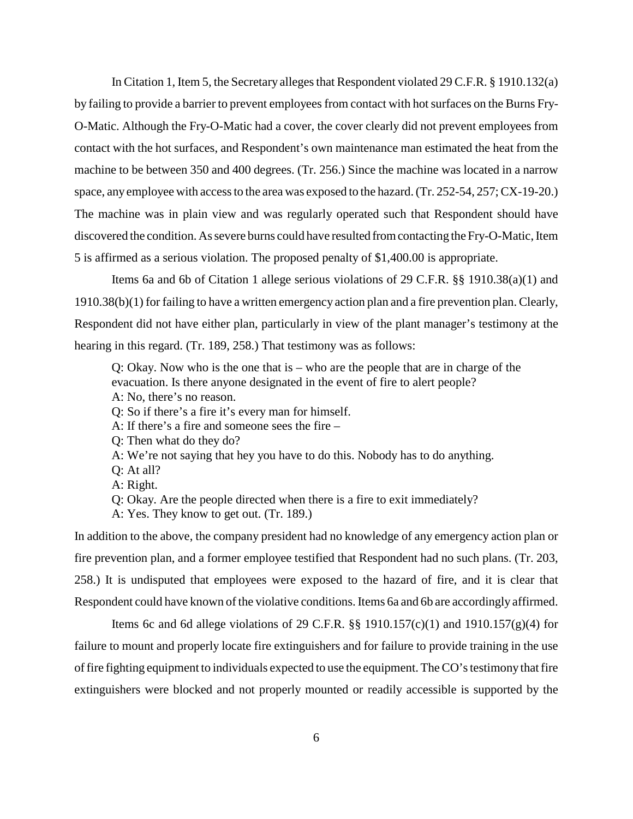In Citation 1, Item 5, the Secretary alleges that Respondent violated 29 C.F.R. § 1910.132(a) by failing to provide a barrier to prevent employees from contact with hot surfaces on the Burns Fry-O-Matic. Although the Fry-O-Matic had a cover, the cover clearly did not prevent employees from contact with the hot surfaces, and Respondent's own maintenance man estimated the heat from the machine to be between 350 and 400 degrees. (Tr. 256.) Since the machine was located in a narrow space, any employee with access to the area was exposed to the hazard. (Tr. 252-54, 257; CX-19-20.) The machine was in plain view and was regularly operated such that Respondent should have discovered the condition. As severe burns could have resulted from contacting the Fry-O-Matic, Item 5 is affirmed as a serious violation. The proposed penalty of \$1,400.00 is appropriate.

Items 6a and 6b of Citation 1 allege serious violations of 29 C.F.R. §§ 1910.38(a)(1) and 1910.38(b)(1) for failing to have a written emergency action plan and a fire prevention plan. Clearly, Respondent did not have either plan, particularly in view of the plant manager's testimony at the hearing in this regard. (Tr. 189, 258.) That testimony was as follows:

Q: Okay. Now who is the one that is – who are the people that are in charge of the evacuation. Is there anyone designated in the event of fire to alert people?

A: No, there's no reason.

Q: So if there's a fire it's every man for himself.

A: If there's a fire and someone sees the fire –

Q: Then what do they do?

- A: We're not saying that hey you have to do this. Nobody has to do anything.
- Q: At all?
- A: Right.
- Q: Okay. Are the people directed when there is a fire to exit immediately?
- A: Yes. They know to get out. (Tr. 189.)

In addition to the above, the company president had no knowledge of any emergency action plan or fire prevention plan, and a former employee testified that Respondent had no such plans. (Tr. 203, 258.) It is undisputed that employees were exposed to the hazard of fire, and it is clear that Respondent could have known of the violative conditions. Items 6a and 6b are accordingly affirmed.

Items 6c and 6d allege violations of 29 C.F.R. §§ 1910.157(c)(1) and 1910.157(g)(4) for failure to mount and properly locate fire extinguishers and for failure to provide training in the use of fire fighting equipment to individuals expected to use the equipment. The CO's testimony that fire extinguishers were blocked and not properly mounted or readily accessible is supported by the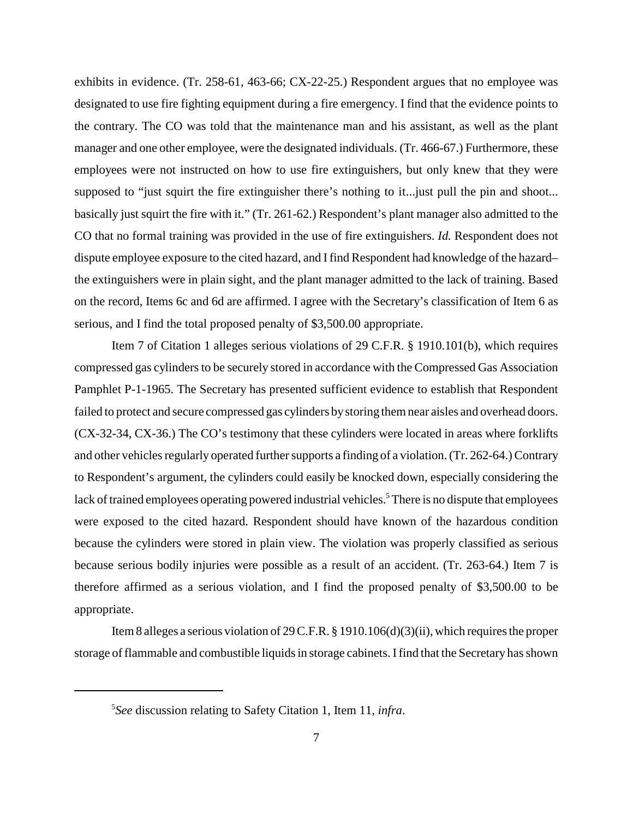exhibits in evidence. (Tr. 258-61, 463-66; CX-22-25.) Respondent argues that no employee was designated to use fire fighting equipment during a fire emergency. I find that the evidence points to the contrary. The CO was told that the maintenance man and his assistant, as well as the plant manager and one other employee, were the designated individuals. (Tr. 466-67.) Furthermore, these employees were not instructed on how to use fire extinguishers, but only knew that they were supposed to "just squirt the fire extinguisher there's nothing to it... just pull the pin and shoot... basically just squirt the fire with it." (Tr. 261-62.) Respondent's plant manager also admitted to the CO that no formal training was provided in the use of fire extinguishers. *Id.* Respondent does not dispute employee exposure to the cited hazard, and I find Respondent had knowledge of the hazard– the extinguishers were in plain sight, and the plant manager admitted to the lack of training. Based on the record, Items 6c and 6d are affirmed. I agree with the Secretary's classification of Item 6 as serious, and I find the total proposed penalty of \$3,500.00 appropriate.

Item 7 of Citation 1 alleges serious violations of 29 C.F.R. § 1910.101(b), which requires compressed gas cylinders to be securely stored in accordance with the Compressed Gas Association Pamphlet P-1-1965. The Secretary has presented sufficient evidence to establish that Respondent failed to protect and secure compressed gas cylinders by storing them near aisles and overhead doors. (CX-32-34, CX-36.) The CO's testimony that these cylinders were located in areas where forklifts and other vehicles regularly operated further supports a finding of a violation. (Tr. 262-64.) Contrary to Respondent's argument, the cylinders could easily be knocked down, especially considering the lack of trained employees operating powered industrial vehicles.<sup>5</sup> There is no dispute that employees were exposed to the cited hazard. Respondent should have known of the hazardous condition because the cylinders were stored in plain view. The violation was properly classified as serious because serious bodily injuries were possible as a result of an accident. (Tr. 263-64.) Item 7 is therefore affirmed as a serious violation, and I find the proposed penalty of \$3,500.00 to be appropriate.

Item 8 alleges a serious violation of 29 C.F.R. § 1910.106(d)(3)(ii), which requires the proper storage of flammable and combustible liquids in storage cabinets. I find that the Secretary has shown

<sup>5</sup> *See* discussion relating to Safety Citation 1, Item 11, *infra*.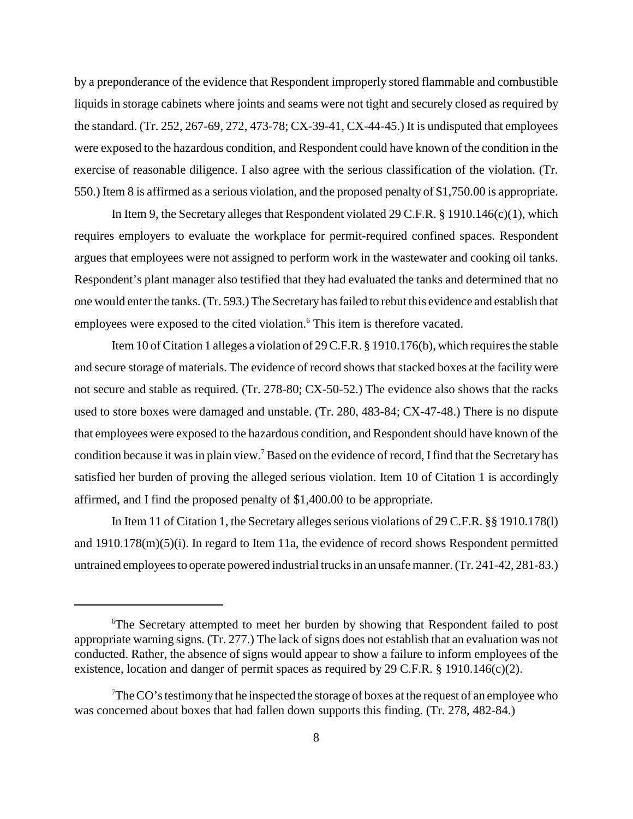by a preponderance of the evidence that Respondent improperly stored flammable and combustible liquids in storage cabinets where joints and seams were not tight and securely closed as required by the standard. (Tr. 252, 267-69, 272, 473-78; CX-39-41, CX-44-45.) It is undisputed that employees were exposed to the hazardous condition, and Respondent could have known of the condition in the exercise of reasonable diligence. I also agree with the serious classification of the violation. (Tr. 550.) Item 8 is affirmed as a serious violation, and the proposed penalty of \$1,750.00 is appropriate.

In Item 9, the Secretary alleges that Respondent violated 29 C.F.R. § 1910.146(c)(1), which requires employers to evaluate the workplace for permit-required confined spaces. Respondent argues that employees were not assigned to perform work in the wastewater and cooking oil tanks. Respondent's plant manager also testified that they had evaluated the tanks and determined that no one would enter the tanks. (Tr. 593.) The Secretary has failed to rebut this evidence and establish that employees were exposed to the cited violation.<sup>6</sup> This item is therefore vacated.

Item 10 of Citation 1 alleges a violation of 29 C.F.R. § 1910.176(b), which requires the stable and secure storage of materials. The evidence of record shows that stacked boxes at the facility were not secure and stable as required. (Tr. 278-80; CX-50-52.) The evidence also shows that the racks used to store boxes were damaged and unstable. (Tr. 280, 483-84; CX-47-48.) There is no dispute that employees were exposed to the hazardous condition, and Respondent should have known of the condition because it was in plain view.7 Based on the evidence of record, I find that the Secretary has satisfied her burden of proving the alleged serious violation. Item 10 of Citation 1 is accordingly affirmed, and I find the proposed penalty of \$1,400.00 to be appropriate.

In Item 11 of Citation 1, the Secretary alleges serious violations of 29 C.F.R. §§ 1910.178(l) and 1910.178(m)(5)(i). In regard to Item 11a, the evidence of record shows Respondent permitted untrained employees to operate powered industrial trucks in an unsafe manner. (Tr. 241-42, 281-83.)

<sup>&</sup>lt;sup>6</sup>The Secretary attempted to meet her burden by showing that Respondent failed to post appropriate warning signs. (Tr. 277.) The lack of signs does not establish that an evaluation was not conducted. Rather, the absence of signs would appear to show a failure to inform employees of the existence, location and danger of permit spaces as required by 29 C.F.R. § 1910.146(c)(2).

 $7$ The CO's testimony that he inspected the storage of boxes at the request of an employee who was concerned about boxes that had fallen down supports this finding. (Tr. 278, 482-84.)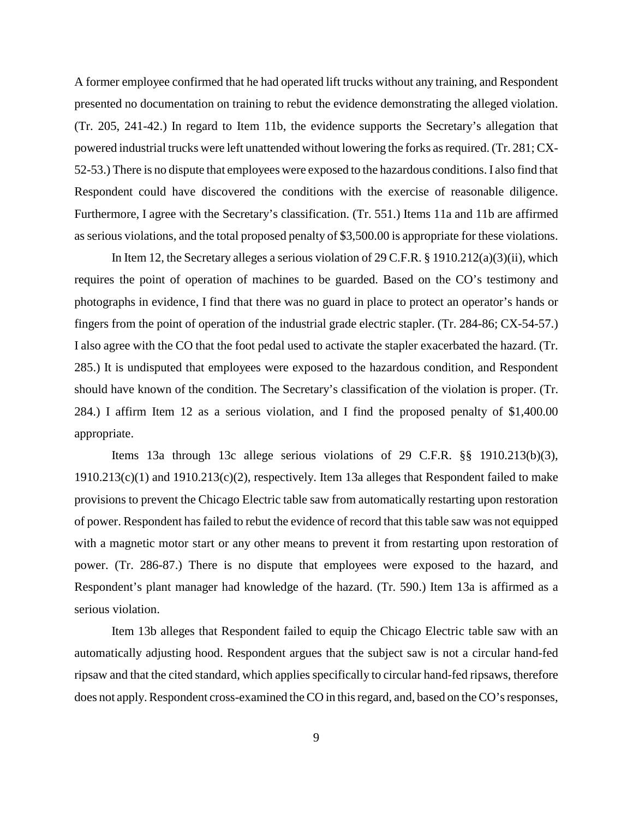A former employee confirmed that he had operated lift trucks without any training, and Respondent presented no documentation on training to rebut the evidence demonstrating the alleged violation. (Tr. 205, 241-42.) In regard to Item 11b, the evidence supports the Secretary's allegation that powered industrial trucks were left unattended without lowering the forks as required. (Tr. 281; CX-52-53.) There is no dispute that employees were exposed to the hazardous conditions. I also find that Respondent could have discovered the conditions with the exercise of reasonable diligence. Furthermore, I agree with the Secretary's classification. (Tr. 551.) Items 11a and 11b are affirmed as serious violations, and the total proposed penalty of \$3,500.00 is appropriate for these violations.

In Item 12, the Secretary alleges a serious violation of 29 C.F.R. § 1910.212(a)(3)(ii), which requires the point of operation of machines to be guarded. Based on the CO's testimony and photographs in evidence, I find that there was no guard in place to protect an operator's hands or fingers from the point of operation of the industrial grade electric stapler. (Tr. 284-86; CX-54-57.) I also agree with the CO that the foot pedal used to activate the stapler exacerbated the hazard. (Tr. 285.) It is undisputed that employees were exposed to the hazardous condition, and Respondent should have known of the condition. The Secretary's classification of the violation is proper. (Tr. 284.) I affirm Item 12 as a serious violation, and I find the proposed penalty of \$1,400.00 appropriate.

Items 13a through 13c allege serious violations of 29 C.F.R. §§ 1910.213(b)(3), 1910.213(c)(1) and 1910.213(c)(2), respectively. Item 13a alleges that Respondent failed to make provisions to prevent the Chicago Electric table saw from automatically restarting upon restoration of power. Respondent has failed to rebut the evidence of record that this table saw was not equipped with a magnetic motor start or any other means to prevent it from restarting upon restoration of power. (Tr. 286-87.) There is no dispute that employees were exposed to the hazard, and Respondent's plant manager had knowledge of the hazard. (Tr. 590.) Item 13a is affirmed as a serious violation.

Item 13b alleges that Respondent failed to equip the Chicago Electric table saw with an automatically adjusting hood. Respondent argues that the subject saw is not a circular hand-fed ripsaw and that the cited standard, which applies specifically to circular hand-fed ripsaws, therefore does not apply. Respondent cross-examined the CO in this regard, and, based on the CO's responses,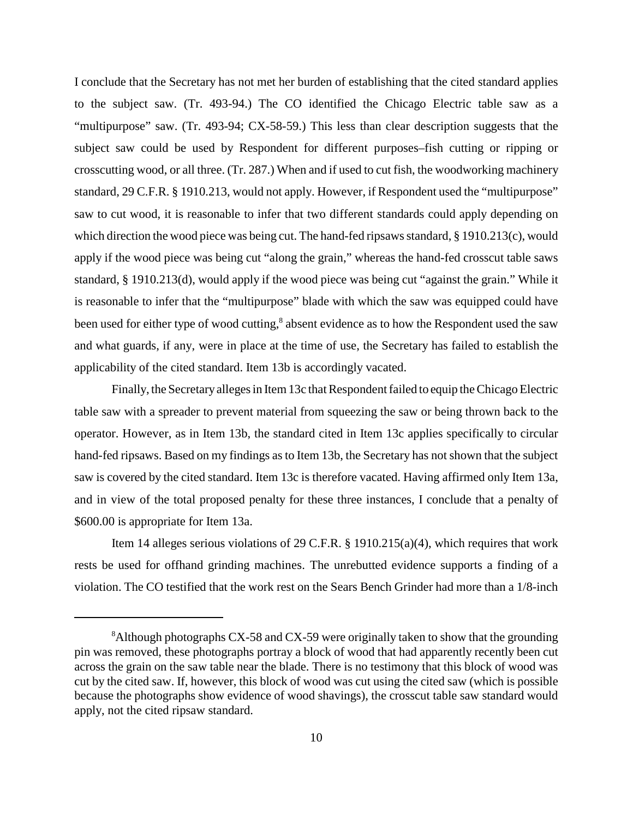I conclude that the Secretary has not met her burden of establishing that the cited standard applies to the subject saw. (Tr. 493-94.) The CO identified the Chicago Electric table saw as a "multipurpose" saw. (Tr. 493-94; CX-58-59.) This less than clear description suggests that the subject saw could be used by Respondent for different purposes–fish cutting or ripping or crosscutting wood, or all three. (Tr. 287.) When and if used to cut fish, the woodworking machinery standard, 29 C.F.R. § 1910.213, would not apply. However, if Respondent used the "multipurpose" saw to cut wood, it is reasonable to infer that two different standards could apply depending on which direction the wood piece was being cut. The hand-fed ripsaws standard, § 1910.213(c), would apply if the wood piece was being cut "along the grain," whereas the hand-fed crosscut table saws standard, § 1910.213(d), would apply if the wood piece was being cut "against the grain." While it is reasonable to infer that the "multipurpose" blade with which the saw was equipped could have been used for either type of wood cutting,<sup>8</sup> absent evidence as to how the Respondent used the saw and what guards, if any, were in place at the time of use, the Secretary has failed to establish the applicability of the cited standard. Item 13b is accordingly vacated.

Finally, the Secretary alleges in Item 13c that Respondent failed to equip the Chicago Electric table saw with a spreader to prevent material from squeezing the saw or being thrown back to the operator. However, as in Item 13b, the standard cited in Item 13c applies specifically to circular hand-fed ripsaws. Based on my findings as to Item 13b, the Secretary has not shown that the subject saw is covered by the cited standard. Item 13c is therefore vacated. Having affirmed only Item 13a, and in view of the total proposed penalty for these three instances, I conclude that a penalty of \$600.00 is appropriate for Item 13a.

Item 14 alleges serious violations of 29 C.F.R. § 1910.215(a)(4), which requires that work rests be used for offhand grinding machines. The unrebutted evidence supports a finding of a violation. The CO testified that the work rest on the Sears Bench Grinder had more than a 1/8-inch

 $8$ Although photographs CX-58 and CX-59 were originally taken to show that the grounding pin was removed, these photographs portray a block of wood that had apparently recently been cut across the grain on the saw table near the blade. There is no testimony that this block of wood was cut by the cited saw. If, however, this block of wood was cut using the cited saw (which is possible because the photographs show evidence of wood shavings), the crosscut table saw standard would apply, not the cited ripsaw standard.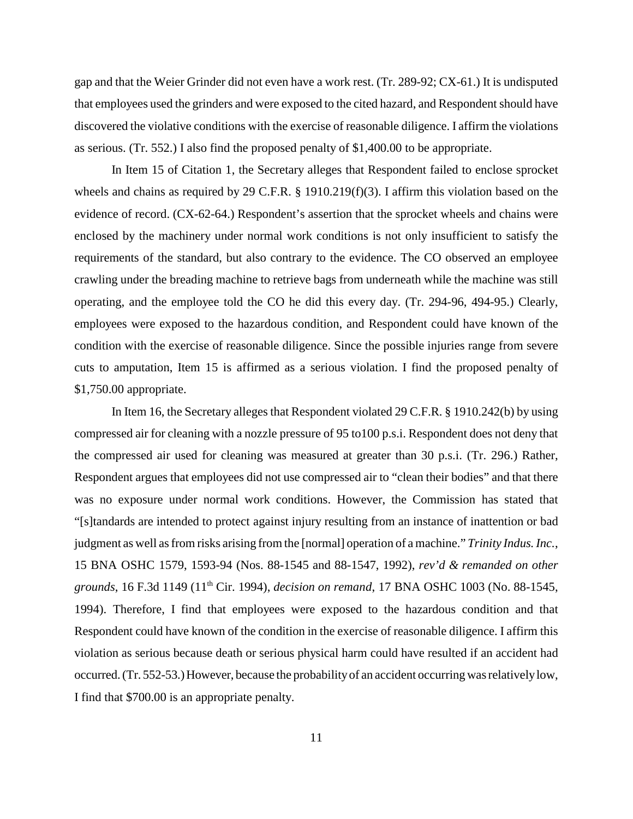gap and that the Weier Grinder did not even have a work rest. (Tr. 289-92; CX-61.) It is undisputed that employees used the grinders and were exposed to the cited hazard, and Respondent should have discovered the violative conditions with the exercise of reasonable diligence. I affirm the violations as serious. (Tr. 552.) I also find the proposed penalty of \$1,400.00 to be appropriate.

In Item 15 of Citation 1, the Secretary alleges that Respondent failed to enclose sprocket wheels and chains as required by 29 C.F.R. § 1910.219(f)(3). I affirm this violation based on the evidence of record. (CX-62-64.) Respondent's assertion that the sprocket wheels and chains were enclosed by the machinery under normal work conditions is not only insufficient to satisfy the requirements of the standard, but also contrary to the evidence. The CO observed an employee crawling under the breading machine to retrieve bags from underneath while the machine was still operating, and the employee told the CO he did this every day. (Tr. 294-96, 494-95.) Clearly, employees were exposed to the hazardous condition, and Respondent could have known of the condition with the exercise of reasonable diligence. Since the possible injuries range from severe cuts to amputation, Item 15 is affirmed as a serious violation. I find the proposed penalty of \$1,750.00 appropriate.

In Item 16, the Secretary alleges that Respondent violated 29 C.F.R. § 1910.242(b) by using compressed air for cleaning with a nozzle pressure of 95 to100 p.s.i. Respondent does not deny that the compressed air used for cleaning was measured at greater than 30 p.s.i. (Tr. 296.) Rather, Respondent argues that employees did not use compressed air to "clean their bodies" and that there was no exposure under normal work conditions. However, the Commission has stated that "[s]tandards are intended to protect against injury resulting from an instance of inattention or bad judgment as well as from risks arising from the [normal] operation of a machine." *Trinity Indus. Inc.*, 15 BNA OSHC 1579, 1593-94 (Nos. 88-1545 and 88-1547, 1992), *rev'd & remanded on other grounds*, 16 F.3d 1149 (11th Cir. 1994), *decision on remand*, 17 BNA OSHC 1003 (No. 88-1545, 1994). Therefore, I find that employees were exposed to the hazardous condition and that Respondent could have known of the condition in the exercise of reasonable diligence. I affirm this violation as serious because death or serious physical harm could have resulted if an accident had occurred. (Tr. 552-53.) However, because the probability of an accident occurring was relatively low, I find that \$700.00 is an appropriate penalty.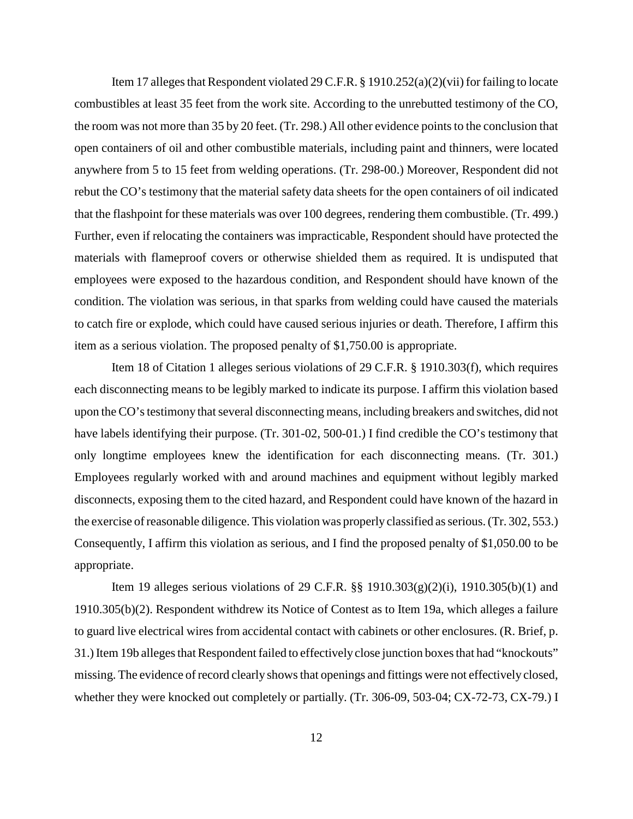Item 17 alleges that Respondent violated 29 C.F.R. § 1910.252(a)(2)(vii) for failing to locate combustibles at least 35 feet from the work site. According to the unrebutted testimony of the CO, the room was not more than 35 by 20 feet. (Tr. 298.) All other evidence points to the conclusion that open containers of oil and other combustible materials, including paint and thinners, were located anywhere from 5 to 15 feet from welding operations. (Tr. 298-00.) Moreover, Respondent did not rebut the CO's testimony that the material safety data sheets for the open containers of oil indicated that the flashpoint for these materials was over 100 degrees, rendering them combustible. (Tr. 499.) Further, even if relocating the containers was impracticable, Respondent should have protected the materials with flameproof covers or otherwise shielded them as required. It is undisputed that employees were exposed to the hazardous condition, and Respondent should have known of the condition. The violation was serious, in that sparks from welding could have caused the materials to catch fire or explode, which could have caused serious injuries or death. Therefore, I affirm this item as a serious violation. The proposed penalty of \$1,750.00 is appropriate.

Item 18 of Citation 1 alleges serious violations of 29 C.F.R. § 1910.303(f), which requires each disconnecting means to be legibly marked to indicate its purpose. I affirm this violation based upon the CO's testimony that several disconnecting means, including breakers and switches, did not have labels identifying their purpose. (Tr. 301-02, 500-01.) I find credible the CO's testimony that only longtime employees knew the identification for each disconnecting means. (Tr. 301.) Employees regularly worked with and around machines and equipment without legibly marked disconnects, exposing them to the cited hazard, and Respondent could have known of the hazard in the exercise of reasonable diligence. This violation was properly classified as serious. (Tr. 302, 553.) Consequently, I affirm this violation as serious, and I find the proposed penalty of \$1,050.00 to be appropriate.

Item 19 alleges serious violations of 29 C.F.R. §§ 1910.303(g)(2)(i), 1910.305(b)(1) and 1910.305(b)(2). Respondent withdrew its Notice of Contest as to Item 19a, which alleges a failure to guard live electrical wires from accidental contact with cabinets or other enclosures. (R. Brief, p. 31.) Item 19b alleges that Respondent failed to effectively close junction boxes that had "knockouts" missing. The evidence of record clearly shows that openings and fittings were not effectively closed, whether they were knocked out completely or partially. (Tr. 306-09, 503-04; CX-72-73, CX-79.) I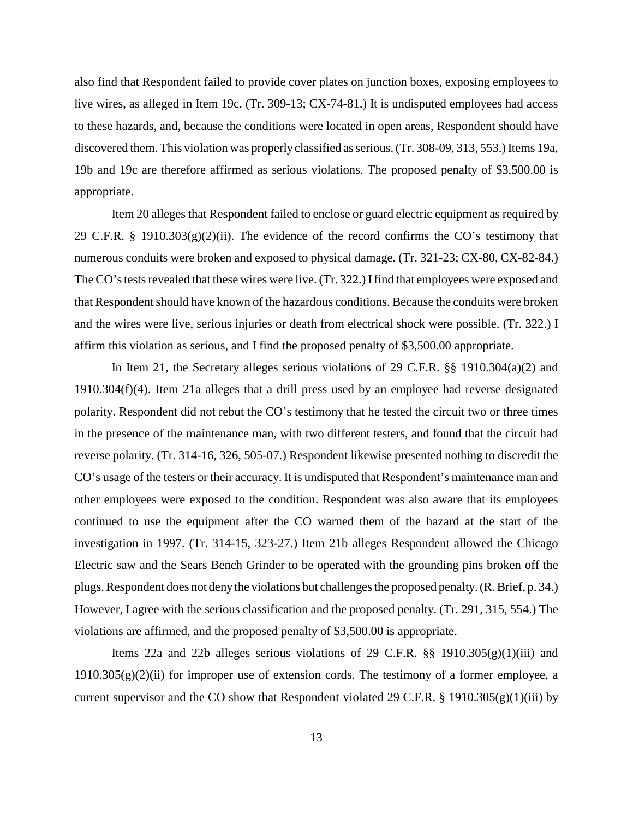also find that Respondent failed to provide cover plates on junction boxes, exposing employees to live wires, as alleged in Item 19c. (Tr. 309-13; CX-74-81.) It is undisputed employees had access to these hazards, and, because the conditions were located in open areas, Respondent should have discovered them. This violation was properlyclassified as serious. (Tr. 308-09, 313, 553.) Items 19a, 19b and 19c are therefore affirmed as serious violations. The proposed penalty of \$3,500.00 is appropriate.

Item 20 alleges that Respondent failed to enclose or guard electric equipment as required by 29 C.F.R. § 1910.303 $(g)(2)(ii)$ . The evidence of the record confirms the CO's testimony that numerous conduits were broken and exposed to physical damage. (Tr. 321-23; CX-80, CX-82-84.) The CO's tests revealed that these wires were live. (Tr. 322.) I find that employees were exposed and that Respondent should have known of the hazardous conditions. Because the conduits were broken and the wires were live, serious injuries or death from electrical shock were possible. (Tr. 322.) I affirm this violation as serious, and I find the proposed penalty of \$3,500.00 appropriate.

In Item 21, the Secretary alleges serious violations of 29 C.F.R. §§ 1910.304(a)(2) and 1910.304(f)(4). Item 21a alleges that a drill press used by an employee had reverse designated polarity. Respondent did not rebut the CO's testimony that he tested the circuit two or three times in the presence of the maintenance man, with two different testers, and found that the circuit had reverse polarity. (Tr. 314-16, 326, 505-07.) Respondent likewise presented nothing to discredit the CO's usage of the testers or their accuracy. It is undisputed that Respondent's maintenance man and other employees were exposed to the condition. Respondent was also aware that its employees continued to use the equipment after the CO warned them of the hazard at the start of the investigation in 1997. (Tr. 314-15, 323-27.) Item 21b alleges Respondent allowed the Chicago Electric saw and the Sears Bench Grinder to be operated with the grounding pins broken off the plugs. Respondent does not deny the violations but challenges the proposed penalty. (R. Brief, p. 34.) However, I agree with the serious classification and the proposed penalty. (Tr. 291, 315, 554.) The violations are affirmed, and the proposed penalty of \$3,500.00 is appropriate.

Items 22a and 22b alleges serious violations of 29 C.F.R. §§ 1910.305(g)(1)(iii) and  $1910.305(g)(2)(ii)$  for improper use of extension cords. The testimony of a former employee, a current supervisor and the CO show that Respondent violated 29 C.F.R.  $\S$  1910.305(g)(1)(iii) by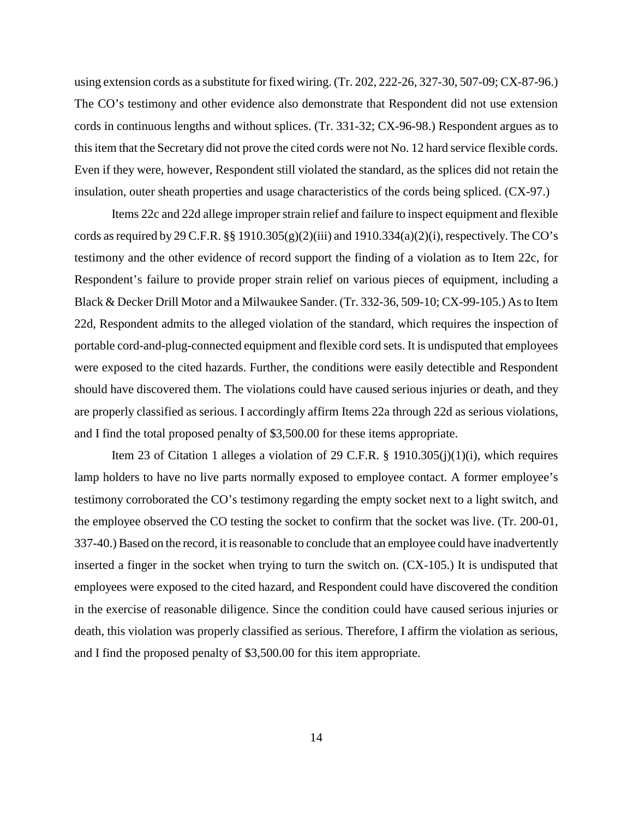using extension cords as a substitute for fixed wiring. (Tr. 202, 222-26, 327-30, 507-09; CX-87-96.) The CO's testimony and other evidence also demonstrate that Respondent did not use extension cords in continuous lengths and without splices. (Tr. 331-32; CX-96-98.) Respondent argues as to this item that the Secretary did not prove the cited cords were not No. 12 hard service flexible cords. Even if they were, however, Respondent still violated the standard, as the splices did not retain the insulation, outer sheath properties and usage characteristics of the cords being spliced. (CX-97.)

Items 22c and 22d allege improper strain relief and failure to inspect equipment and flexible cords as required by 29 C.F.R.  $\S$ § 1910.305(g)(2)(iii) and 1910.334(a)(2)(i), respectively. The CO's testimony and the other evidence of record support the finding of a violation as to Item 22c, for Respondent's failure to provide proper strain relief on various pieces of equipment, including a Black & Decker Drill Motor and a Milwaukee Sander. (Tr. 332-36, 509-10; CX-99-105.) As to Item 22d, Respondent admits to the alleged violation of the standard, which requires the inspection of portable cord-and-plug-connected equipment and flexible cord sets. It is undisputed that employees were exposed to the cited hazards. Further, the conditions were easily detectible and Respondent should have discovered them. The violations could have caused serious injuries or death, and they are properly classified as serious. I accordingly affirm Items 22a through 22d as serious violations, and I find the total proposed penalty of \$3,500.00 for these items appropriate.

Item 23 of Citation 1 alleges a violation of 29 C.F.R. § 1910.305(j)(1)(i), which requires lamp holders to have no live parts normally exposed to employee contact. A former employee's testimony corroborated the CO's testimony regarding the empty socket next to a light switch, and the employee observed the CO testing the socket to confirm that the socket was live. (Tr. 200-01, 337-40.) Based on the record, it is reasonable to conclude that an employee could have inadvertently inserted a finger in the socket when trying to turn the switch on. (CX-105.) It is undisputed that employees were exposed to the cited hazard, and Respondent could have discovered the condition in the exercise of reasonable diligence. Since the condition could have caused serious injuries or death, this violation was properly classified as serious. Therefore, I affirm the violation as serious, and I find the proposed penalty of \$3,500.00 for this item appropriate.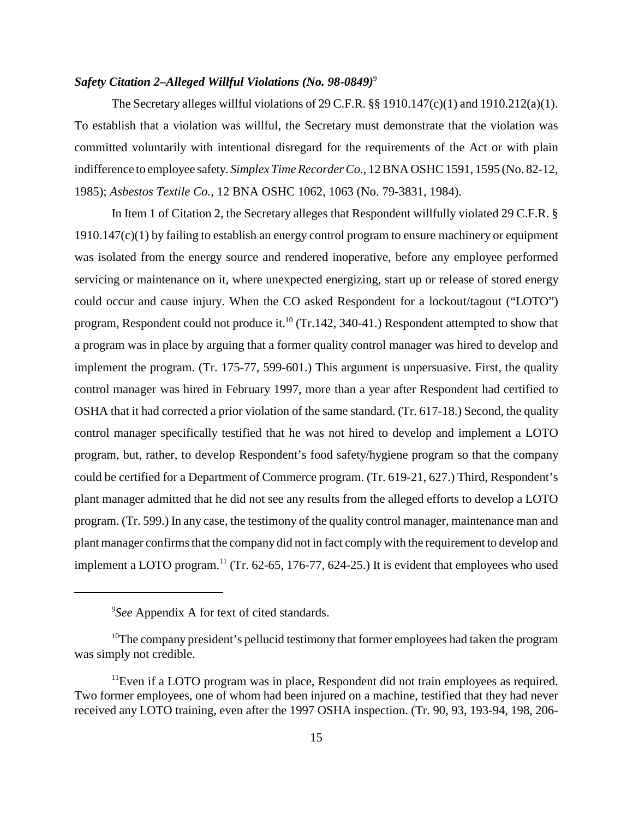#### *Safety Citation 2–Alleged Willful Violations (No. 98-0849)*<sup>9</sup>

The Secretary alleges willful violations of 29 C.F.R. §§ 1910.147(c)(1) and 1910.212(a)(1). To establish that a violation was willful, the Secretary must demonstrate that the violation was committed voluntarily with intentional disregard for the requirements of the Act or with plain indifference to employee safety. *Simplex Time Recorder Co.*, 12 BNA OSHC 1591, 1595 (No. 82-12, 1985); *Asbestos Textile Co.*, 12 BNA OSHC 1062, 1063 (No. 79-3831, 1984).

In Item 1 of Citation 2, the Secretary alleges that Respondent willfully violated 29 C.F.R. § 1910.147(c)(1) by failing to establish an energy control program to ensure machinery or equipment was isolated from the energy source and rendered inoperative, before any employee performed servicing or maintenance on it, where unexpected energizing, start up or release of stored energy could occur and cause injury. When the CO asked Respondent for a lockout/tagout ("LOTO") program, Respondent could not produce it.<sup>10</sup> (Tr.142, 340-41.) Respondent attempted to show that a program was in place by arguing that a former quality control manager was hired to develop and implement the program. (Tr. 175-77, 599-601.) This argument is unpersuasive. First, the quality control manager was hired in February 1997, more than a year after Respondent had certified to OSHA that it had corrected a prior violation of the same standard. (Tr. 617-18.) Second, the quality control manager specifically testified that he was not hired to develop and implement a LOTO program, but, rather, to develop Respondent's food safety/hygiene program so that the company could be certified for a Department of Commerce program. (Tr. 619-21, 627.) Third, Respondent's plant manager admitted that he did not see any results from the alleged efforts to develop a LOTO program. (Tr. 599.) In any case, the testimony of the quality control manager, maintenance man and plant manager confirms that the company did not in fact comply with the requirement to develop and implement a LOTO program.<sup>11</sup> (Tr. 62-65, 176-77, 624-25.) It is evident that employees who used

<sup>9</sup> *See* Appendix A for text of cited standards.

<sup>&</sup>lt;sup>10</sup>The company president's pellucid testimony that former employees had taken the program was simply not credible.

<sup>&</sup>lt;sup>11</sup>Even if a LOTO program was in place, Respondent did not train employees as required. Two former employees, one of whom had been injured on a machine, testified that they had never received any LOTO training, even after the 1997 OSHA inspection. (Tr. 90, 93, 193-94, 198, 206-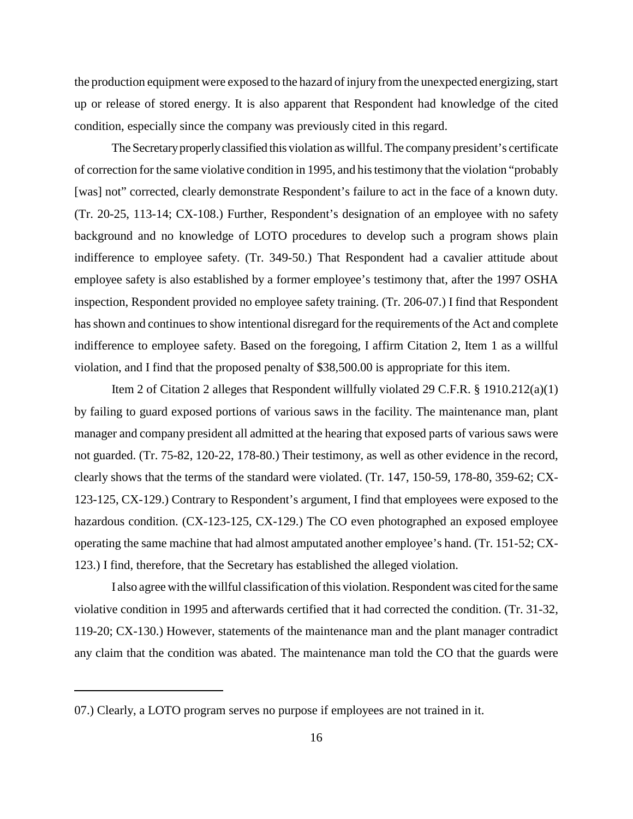the production equipment were exposed to the hazard of injury from the unexpected energizing, start up or release of stored energy. It is also apparent that Respondent had knowledge of the cited condition, especially since the company was previously cited in this regard.

The Secretary properly classified this violation as willful. The company president's certificate of correction for the same violative condition in 1995, and his testimony that the violation "probably [was] not" corrected, clearly demonstrate Respondent's failure to act in the face of a known duty. (Tr. 20-25, 113-14; CX-108.) Further, Respondent's designation of an employee with no safety background and no knowledge of LOTO procedures to develop such a program shows plain indifference to employee safety. (Tr. 349-50.) That Respondent had a cavalier attitude about employee safety is also established by a former employee's testimony that, after the 1997 OSHA inspection, Respondent provided no employee safety training. (Tr. 206-07.) I find that Respondent has shown and continues to show intentional disregard for the requirements of the Act and complete indifference to employee safety. Based on the foregoing, I affirm Citation 2, Item 1 as a willful violation, and I find that the proposed penalty of \$38,500.00 is appropriate for this item.

Item 2 of Citation 2 alleges that Respondent willfully violated 29 C.F.R. § 1910.212(a)(1) by failing to guard exposed portions of various saws in the facility. The maintenance man, plant manager and company president all admitted at the hearing that exposed parts of various saws were not guarded. (Tr. 75-82, 120-22, 178-80.) Their testimony, as well as other evidence in the record, clearly shows that the terms of the standard were violated. (Tr. 147, 150-59, 178-80, 359-62; CX-123-125, CX-129.) Contrary to Respondent's argument, I find that employees were exposed to the hazardous condition. (CX-123-125, CX-129.) The CO even photographed an exposed employee operating the same machine that had almost amputated another employee's hand. (Tr. 151-52; CX-123.) I find, therefore, that the Secretary has established the alleged violation.

I also agree with the willful classification of this violation. Respondent was cited for the same violative condition in 1995 and afterwards certified that it had corrected the condition. (Tr. 31-32, 119-20; CX-130.) However, statements of the maintenance man and the plant manager contradict any claim that the condition was abated. The maintenance man told the CO that the guards were

<sup>07.)</sup> Clearly, a LOTO program serves no purpose if employees are not trained in it.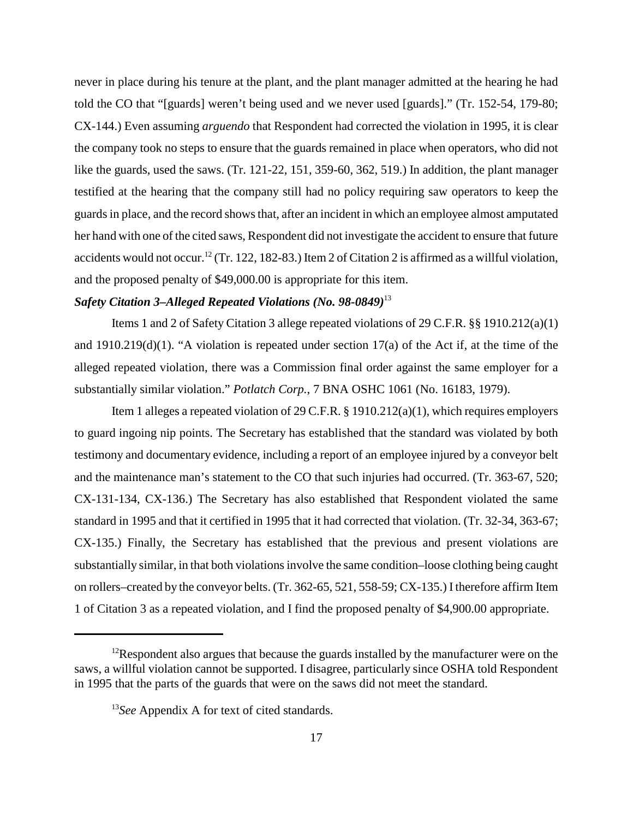never in place during his tenure at the plant, and the plant manager admitted at the hearing he had told the CO that "[guards] weren't being used and we never used [guards]." (Tr. 152-54, 179-80; CX-144.) Even assuming *arguendo* that Respondent had corrected the violation in 1995, it is clear the company took no steps to ensure that the guards remained in place when operators, who did not like the guards, used the saws. (Tr. 121-22, 151, 359-60, 362, 519.) In addition, the plant manager testified at the hearing that the company still had no policy requiring saw operators to keep the guards in place, and the record shows that, after an incident in which an employee almost amputated her hand with one of the cited saws, Respondent did not investigate the accident to ensure that future accidents would not occur.<sup>12</sup> (Tr. 122, 182-83.) Item 2 of Citation 2 is affirmed as a willful violation, and the proposed penalty of \$49,000.00 is appropriate for this item.

### *Safety Citation 3–Alleged Repeated Violations (No. 98-0849)*<sup>13</sup>

Items 1 and 2 of Safety Citation 3 allege repeated violations of 29 C.F.R. §§ 1910.212(a)(1) and  $1910.219(d)(1)$ . "A violation is repeated under section  $17(a)$  of the Act if, at the time of the alleged repeated violation, there was a Commission final order against the same employer for a substantially similar violation." *Potlatch Corp.*, 7 BNA OSHC 1061 (No. 16183, 1979).

Item 1 alleges a repeated violation of 29 C.F.R. § 1910.212(a)(1), which requires employers to guard ingoing nip points. The Secretary has established that the standard was violated by both testimony and documentary evidence, including a report of an employee injured by a conveyor belt and the maintenance man's statement to the CO that such injuries had occurred. (Tr. 363-67, 520; CX-131-134, CX-136.) The Secretary has also established that Respondent violated the same standard in 1995 and that it certified in 1995 that it had corrected that violation. (Tr. 32-34, 363-67; CX-135.) Finally, the Secretary has established that the previous and present violations are substantially similar, in that both violations involve the same condition–loose clothing being caught on rollers–created by the conveyor belts. (Tr. 362-65, 521, 558-59; CX-135.) I therefore affirm Item 1 of Citation 3 as a repeated violation, and I find the proposed penalty of \$4,900.00 appropriate.

 $12$ Respondent also argues that because the guards installed by the manufacturer were on the saws, a willful violation cannot be supported. I disagree, particularly since OSHA told Respondent in 1995 that the parts of the guards that were on the saws did not meet the standard.

<sup>&</sup>lt;sup>13</sup>See Appendix A for text of cited standards.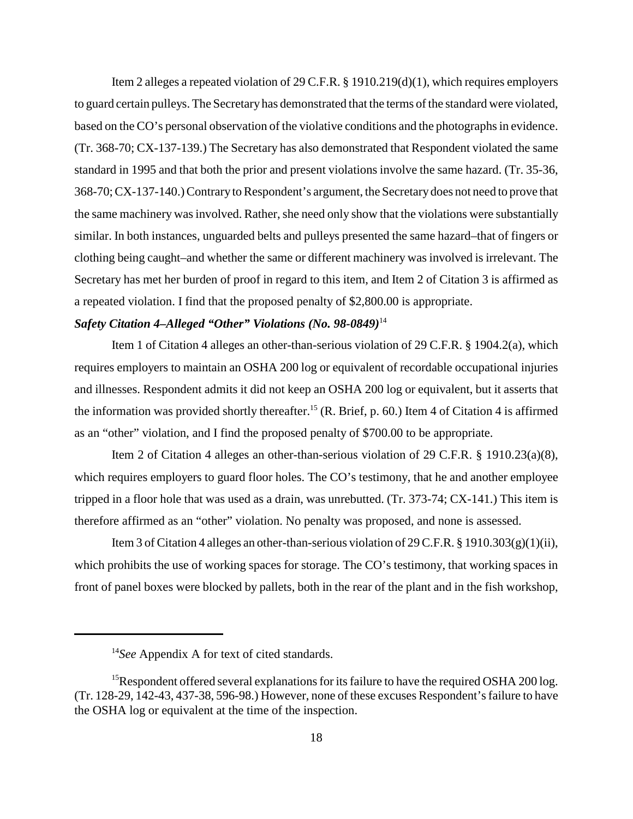Item 2 alleges a repeated violation of 29 C.F.R. § 1910.219(d)(1), which requires employers to guard certain pulleys. The Secretary has demonstrated that the terms of the standard were violated, based on the CO's personal observation of the violative conditions and the photographs in evidence. (Tr. 368-70; CX-137-139.) The Secretary has also demonstrated that Respondent violated the same standard in 1995 and that both the prior and present violations involve the same hazard. (Tr. 35-36, 368-70; CX-137-140.) Contrary to Respondent's argument, the Secretary does not need to prove that the same machinery was involved. Rather, she need only show that the violations were substantially similar. In both instances, unguarded belts and pulleys presented the same hazard–that of fingers or clothing being caught–and whether the same or different machinery was involved is irrelevant. The Secretary has met her burden of proof in regard to this item, and Item 2 of Citation 3 is affirmed as a repeated violation. I find that the proposed penalty of \$2,800.00 is appropriate.

# *Safety Citation 4–Alleged "Other" Violations (No. 98-0849)*<sup>14</sup>

Item 1 of Citation 4 alleges an other-than-serious violation of 29 C.F.R. § 1904.2(a), which requires employers to maintain an OSHA 200 log or equivalent of recordable occupational injuries and illnesses. Respondent admits it did not keep an OSHA 200 log or equivalent, but it asserts that the information was provided shortly thereafter.<sup>15</sup> (R. Brief, p. 60.) Item 4 of Citation 4 is affirmed as an "other" violation, and I find the proposed penalty of \$700.00 to be appropriate.

Item 2 of Citation 4 alleges an other-than-serious violation of 29 C.F.R. § 1910.23(a)(8), which requires employers to guard floor holes. The CO's testimony, that he and another employee tripped in a floor hole that was used as a drain, was unrebutted. (Tr. 373-74; CX-141.) This item is therefore affirmed as an "other" violation. No penalty was proposed, and none is assessed.

Item 3 of Citation 4 alleges an other-than-serious violation of 29 C.F.R. § 1910.303(g)(1)(ii), which prohibits the use of working spaces for storage. The CO's testimony, that working spaces in front of panel boxes were blocked by pallets, both in the rear of the plant and in the fish workshop,

<sup>&</sup>lt;sup>14</sup>See Appendix A for text of cited standards.

<sup>&</sup>lt;sup>15</sup>Respondent offered several explanations for its failure to have the required OSHA 200 log. (Tr. 128-29, 142-43, 437-38, 596-98.) However, none of these excuses Respondent's failure to have the OSHA log or equivalent at the time of the inspection.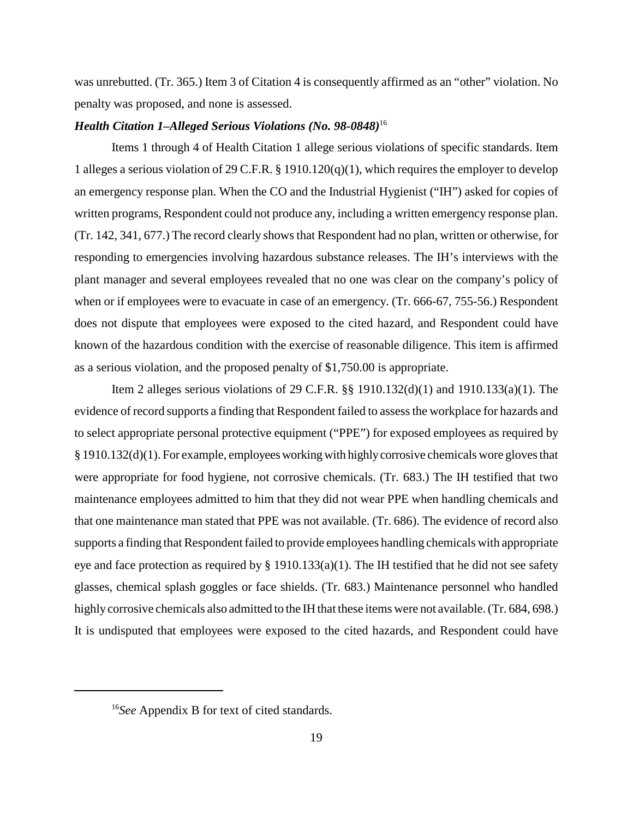was unrebutted. (Tr. 365.) Item 3 of Citation 4 is consequently affirmed as an "other" violation. No penalty was proposed, and none is assessed.

# *Health Citation 1–Alleged Serious Violations (No. 98-0848)*<sup>16</sup>

Items 1 through 4 of Health Citation 1 allege serious violations of specific standards. Item 1 alleges a serious violation of 29 C.F.R. § 1910.120(q)(1), which requires the employer to develop an emergency response plan. When the CO and the Industrial Hygienist ("IH") asked for copies of written programs, Respondent could not produce any, including a written emergency response plan. (Tr. 142, 341, 677.) The record clearly shows that Respondent had no plan, written or otherwise, for responding to emergencies involving hazardous substance releases. The IH's interviews with the plant manager and several employees revealed that no one was clear on the company's policy of when or if employees were to evacuate in case of an emergency. (Tr. 666-67, 755-56.) Respondent does not dispute that employees were exposed to the cited hazard, and Respondent could have known of the hazardous condition with the exercise of reasonable diligence. This item is affirmed as a serious violation, and the proposed penalty of \$1,750.00 is appropriate.

Item 2 alleges serious violations of 29 C.F.R. §§ 1910.132(d)(1) and 1910.133(a)(1). The evidence of record supports a finding that Respondent failed to assess the workplace for hazards and to select appropriate personal protective equipment ("PPE") for exposed employees as required by § 1910.132(d)(1). For example, employees working with highly corrosive chemicals wore gloves that were appropriate for food hygiene, not corrosive chemicals. (Tr. 683.) The IH testified that two maintenance employees admitted to him that they did not wear PPE when handling chemicals and that one maintenance man stated that PPE was not available. (Tr. 686). The evidence of record also supports a finding that Respondent failed to provide employees handling chemicals with appropriate eye and face protection as required by  $\S$  1910.133(a)(1). The IH testified that he did not see safety glasses, chemical splash goggles or face shields. (Tr. 683.) Maintenance personnel who handled highly corrosive chemicals also admitted to the IH that these items were not available. (Tr. 684, 698.) It is undisputed that employees were exposed to the cited hazards, and Respondent could have

<sup>16</sup>*See* Appendix B for text of cited standards.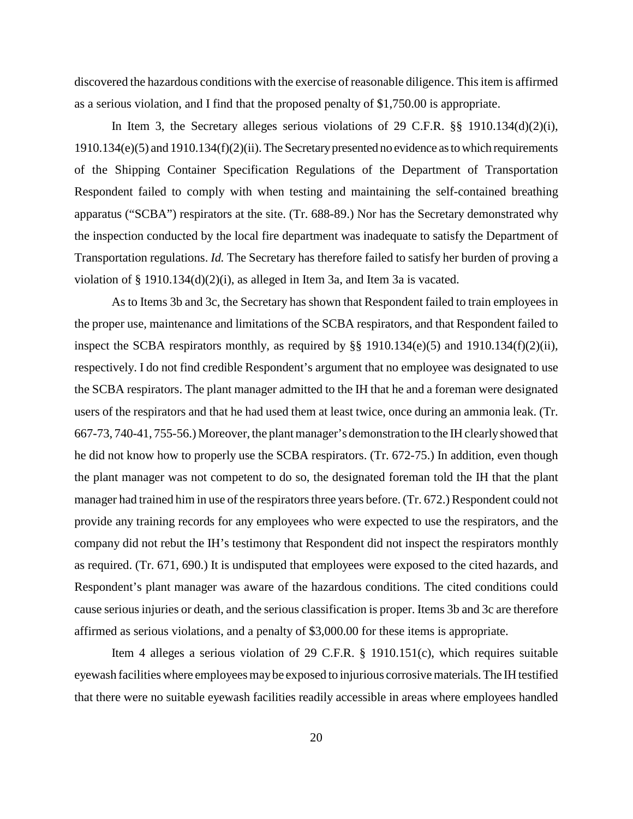discovered the hazardous conditions with the exercise of reasonable diligence. This item is affirmed as a serious violation, and I find that the proposed penalty of \$1,750.00 is appropriate.

In Item 3, the Secretary alleges serious violations of 29 C.F.R.  $\S$  1910.134(d)(2)(i), 1910.134(e)(5) and 1910.134(f)(2)(ii). The Secretary presented no evidence as to which requirements of the Shipping Container Specification Regulations of the Department of Transportation Respondent failed to comply with when testing and maintaining the self-contained breathing apparatus ("SCBA") respirators at the site. (Tr. 688-89.) Nor has the Secretary demonstrated why the inspection conducted by the local fire department was inadequate to satisfy the Department of Transportation regulations. *Id.* The Secretary has therefore failed to satisfy her burden of proving a violation of § 1910.134(d)(2)(i), as alleged in Item 3a, and Item 3a is vacated.

As to Items 3b and 3c, the Secretary has shown that Respondent failed to train employees in the proper use, maintenance and limitations of the SCBA respirators, and that Respondent failed to inspect the SCBA respirators monthly, as required by  $\S$ § 1910.134(e)(5) and 1910.134(f)(2)(ii), respectively. I do not find credible Respondent's argument that no employee was designated to use the SCBA respirators. The plant manager admitted to the IH that he and a foreman were designated users of the respirators and that he had used them at least twice, once during an ammonia leak. (Tr. 667-73, 740-41, 755-56.) Moreover, the plant manager's demonstration to the IH clearly showed that he did not know how to properly use the SCBA respirators. (Tr. 672-75.) In addition, even though the plant manager was not competent to do so, the designated foreman told the IH that the plant manager had trained him in use of the respirators three years before. (Tr. 672.) Respondent could not provide any training records for any employees who were expected to use the respirators, and the company did not rebut the IH's testimony that Respondent did not inspect the respirators monthly as required. (Tr. 671, 690.) It is undisputed that employees were exposed to the cited hazards, and Respondent's plant manager was aware of the hazardous conditions. The cited conditions could cause serious injuries or death, and the serious classification is proper. Items 3b and 3c are therefore affirmed as serious violations, and a penalty of \$3,000.00 for these items is appropriate.

Item 4 alleges a serious violation of 29 C.F.R. § 1910.151(c), which requires suitable eyewash facilities where employees may be exposed to injurious corrosive materials. The IH testified that there were no suitable eyewash facilities readily accessible in areas where employees handled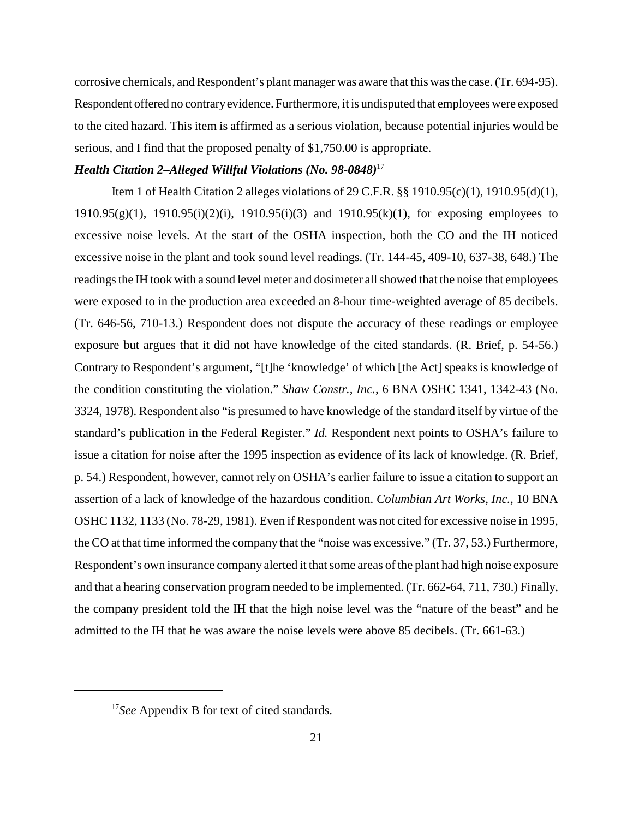corrosive chemicals, and Respondent's plant manager was aware that this was the case. (Tr. 694-95). Respondent offered no contrary evidence. Furthermore, it is undisputed that employees were exposed to the cited hazard. This item is affirmed as a serious violation, because potential injuries would be serious, and I find that the proposed penalty of \$1,750.00 is appropriate.

### *Health Citation 2–Alleged Willful Violations (No. 98-0848)*<sup>17</sup>

Item 1 of Health Citation 2 alleges violations of 29 C.F.R.  $\S$ § 1910.95(c)(1), 1910.95(d)(1), 1910.95(g)(1), 1910.95(i)(2)(i), 1910.95(i)(3) and 1910.95(k)(1), for exposing employees to excessive noise levels. At the start of the OSHA inspection, both the CO and the IH noticed excessive noise in the plant and took sound level readings. (Tr. 144-45, 409-10, 637-38, 648.) The readings the IH took with a sound level meter and dosimeter all showed that the noise that employees were exposed to in the production area exceeded an 8-hour time-weighted average of 85 decibels. (Tr. 646-56, 710-13.) Respondent does not dispute the accuracy of these readings or employee exposure but argues that it did not have knowledge of the cited standards. (R. Brief, p. 54-56.) Contrary to Respondent's argument, "[t]he 'knowledge' of which [the Act] speaks is knowledge of the condition constituting the violation." *Shaw Constr., Inc.*, 6 BNA OSHC 1341, 1342-43 (No. 3324, 1978). Respondent also "is presumed to have knowledge of the standard itself by virtue of the standard's publication in the Federal Register." *Id.* Respondent next points to OSHA's failure to issue a citation for noise after the 1995 inspection as evidence of its lack of knowledge. (R. Brief, p. 54.) Respondent, however, cannot rely on OSHA's earlier failure to issue a citation to support an assertion of a lack of knowledge of the hazardous condition. *Columbian Art Works, Inc.*, 10 BNA OSHC 1132, 1133 (No. 78-29, 1981). Even if Respondent was not cited for excessive noise in 1995, the CO at that time informed the company that the "noise was excessive." (Tr. 37, 53.) Furthermore, Respondent's own insurance company alerted it that some areas of the plant had high noise exposure and that a hearing conservation program needed to be implemented. (Tr. 662-64, 711, 730.) Finally, the company president told the IH that the high noise level was the "nature of the beast" and he admitted to the IH that he was aware the noise levels were above 85 decibels. (Tr. 661-63.)

<sup>&</sup>lt;sup>17</sup>See Appendix B for text of cited standards.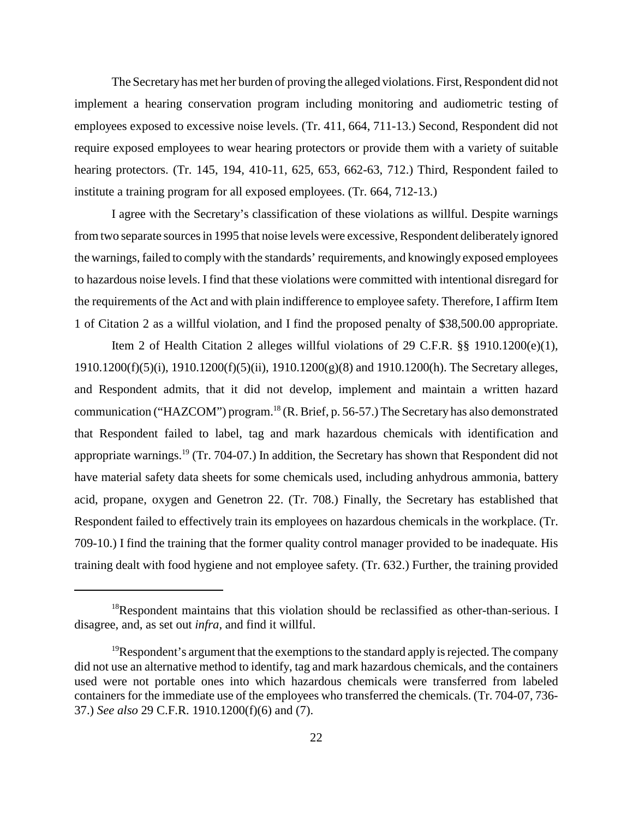The Secretary has met her burden of proving the alleged violations. First, Respondent did not implement a hearing conservation program including monitoring and audiometric testing of employees exposed to excessive noise levels. (Tr. 411, 664, 711-13.) Second, Respondent did not require exposed employees to wear hearing protectors or provide them with a variety of suitable hearing protectors. (Tr. 145, 194, 410-11, 625, 653, 662-63, 712.) Third, Respondent failed to institute a training program for all exposed employees. (Tr. 664, 712-13.)

I agree with the Secretary's classification of these violations as willful. Despite warnings from two separate sources in 1995 that noise levels were excessive, Respondent deliberately ignored the warnings, failed to comply with the standards' requirements, and knowingly exposed employees to hazardous noise levels. I find that these violations were committed with intentional disregard for the requirements of the Act and with plain indifference to employee safety. Therefore, I affirm Item 1 of Citation 2 as a willful violation, and I find the proposed penalty of \$38,500.00 appropriate.

Item 2 of Health Citation 2 alleges willful violations of 29 C.F.R. §§ 1910.1200(e)(1), 1910.1200(f)(5)(i), 1910.1200(f)(5)(ii), 1910.1200(g)(8) and 1910.1200(h). The Secretary alleges, and Respondent admits, that it did not develop, implement and maintain a written hazard communication ("HAZCOM") program.18 (R. Brief, p. 56-57.) The Secretary has also demonstrated that Respondent failed to label, tag and mark hazardous chemicals with identification and appropriate warnings.<sup>19</sup> (Tr. 704-07.) In addition, the Secretary has shown that Respondent did not have material safety data sheets for some chemicals used, including anhydrous ammonia, battery acid, propane, oxygen and Genetron 22. (Tr. 708.) Finally, the Secretary has established that Respondent failed to effectively train its employees on hazardous chemicals in the workplace. (Tr. 709-10.) I find the training that the former quality control manager provided to be inadequate. His training dealt with food hygiene and not employee safety. (Tr. 632.) Further, the training provided

 $18$ Respondent maintains that this violation should be reclassified as other-than-serious. I disagree, and, as set out *infra*, and find it willful.

<sup>&</sup>lt;sup>19</sup>Respondent's argument that the exemptions to the standard apply is rejected. The company did not use an alternative method to identify, tag and mark hazardous chemicals, and the containers used were not portable ones into which hazardous chemicals were transferred from labeled containers for the immediate use of the employees who transferred the chemicals. (Tr. 704-07, 736- 37.) *See also* 29 C.F.R. 1910.1200(f)(6) and (7).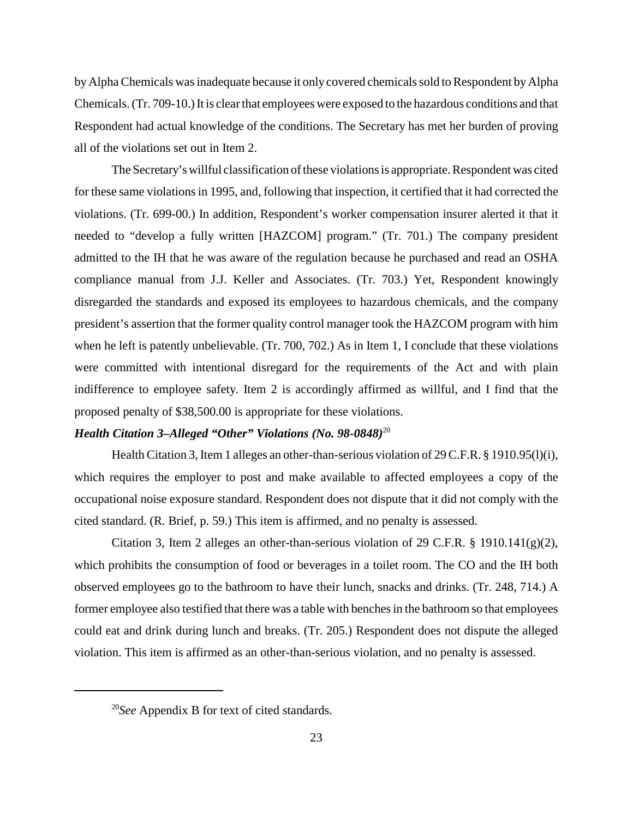by Alpha Chemicals was inadequate because it only covered chemicals sold to Respondent by Alpha Chemicals. (Tr. 709-10.) It is clear that employees were exposed to the hazardous conditions and that Respondent had actual knowledge of the conditions. The Secretary has met her burden of proving all of the violations set out in Item 2.

The Secretary's willful classification of these violations is appropriate. Respondent was cited for these same violations in 1995, and, following that inspection, it certified that it had corrected the violations. (Tr. 699-00.) In addition, Respondent's worker compensation insurer alerted it that it needed to "develop a fully written [HAZCOM] program." (Tr. 701.) The company president admitted to the IH that he was aware of the regulation because he purchased and read an OSHA compliance manual from J.J. Keller and Associates. (Tr. 703.) Yet, Respondent knowingly disregarded the standards and exposed its employees to hazardous chemicals, and the company president's assertion that the former quality control manager took the HAZCOM program with him when he left is patently unbelievable. (Tr. 700, 702.) As in Item 1, I conclude that these violations were committed with intentional disregard for the requirements of the Act and with plain indifference to employee safety. Item 2 is accordingly affirmed as willful, and I find that the proposed penalty of \$38,500.00 is appropriate for these violations.

### *Health Citation 3–Alleged "Other" Violations (No. 98-0848)*<sup>20</sup>

Health Citation 3, Item 1 alleges an other-than-serious violation of 29 C.F.R. § 1910.95(l)(i), which requires the employer to post and make available to affected employees a copy of the occupational noise exposure standard. Respondent does not dispute that it did not comply with the cited standard. (R. Brief, p. 59.) This item is affirmed, and no penalty is assessed.

Citation 3, Item 2 alleges an other-than-serious violation of 29 C.F.R. § 1910.141(g)(2), which prohibits the consumption of food or beverages in a toilet room. The CO and the IH both observed employees go to the bathroom to have their lunch, snacks and drinks. (Tr. 248, 714.) A former employee also testified that there was a table with benches in the bathroom so that employees could eat and drink during lunch and breaks. (Tr. 205.) Respondent does not dispute the alleged violation. This item is affirmed as an other-than-serious violation, and no penalty is assessed.

<sup>20</sup>*See* Appendix B for text of cited standards.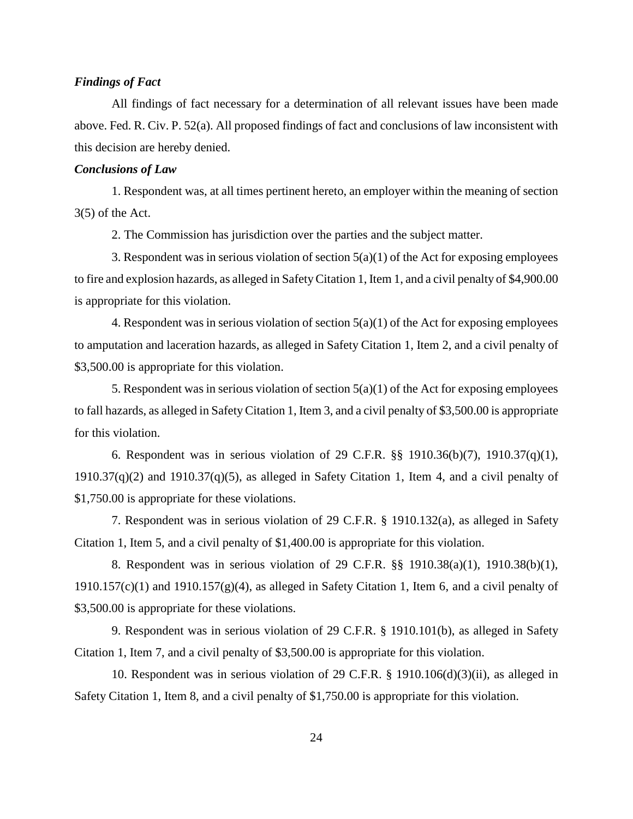### *Findings of Fact*

All findings of fact necessary for a determination of all relevant issues have been made above. Fed. R. Civ. P. 52(a). All proposed findings of fact and conclusions of law inconsistent with this decision are hereby denied.

### *Conclusions of Law*

1. Respondent was, at all times pertinent hereto, an employer within the meaning of section 3(5) of the Act.

2. The Commission has jurisdiction over the parties and the subject matter.

3. Respondent was in serious violation of section  $5(a)(1)$  of the Act for exposing employees to fire and explosion hazards, as alleged in Safety Citation 1, Item 1, and a civil penalty of \$4,900.00 is appropriate for this violation.

4. Respondent was in serious violation of section  $5(a)(1)$  of the Act for exposing employees to amputation and laceration hazards, as alleged in Safety Citation 1, Item 2, and a civil penalty of \$3,500.00 is appropriate for this violation.

5. Respondent was in serious violation of section 5(a)(1) of the Act for exposing employees to fall hazards, as alleged in Safety Citation 1, Item 3, and a civil penalty of \$3,500.00 is appropriate for this violation.

6. Respondent was in serious violation of 29 C.F.R. §§ 1910.36(b)(7), 1910.37(q)(1),  $1910.37(q)(2)$  and  $1910.37(q)(5)$ , as alleged in Safety Citation 1, Item 4, and a civil penalty of \$1,750.00 is appropriate for these violations.

7. Respondent was in serious violation of 29 C.F.R. § 1910.132(a), as alleged in Safety Citation 1, Item 5, and a civil penalty of \$1,400.00 is appropriate for this violation.

8. Respondent was in serious violation of 29 C.F.R. §§ 1910.38(a)(1), 1910.38(b)(1),  $1910.157(c)(1)$  and  $1910.157(g)(4)$ , as alleged in Safety Citation 1, Item 6, and a civil penalty of \$3,500.00 is appropriate for these violations.

9. Respondent was in serious violation of 29 C.F.R. § 1910.101(b), as alleged in Safety Citation 1, Item 7, and a civil penalty of \$3,500.00 is appropriate for this violation.

10. Respondent was in serious violation of 29 C.F.R. § 1910.106(d)(3)(ii), as alleged in Safety Citation 1, Item 8, and a civil penalty of \$1,750.00 is appropriate for this violation.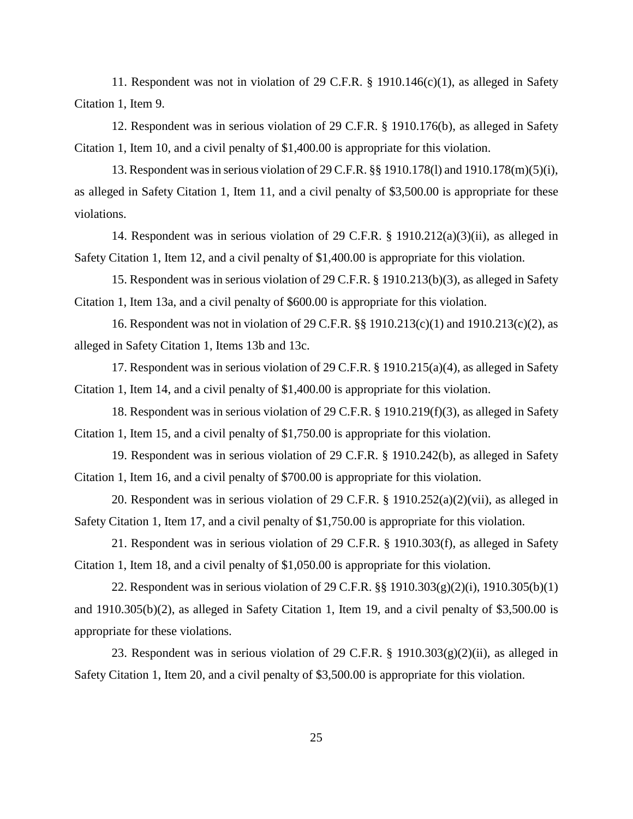11. Respondent was not in violation of 29 C.F.R. § 1910.146(c)(1), as alleged in Safety Citation 1, Item 9.

12. Respondent was in serious violation of 29 C.F.R. § 1910.176(b), as alleged in Safety Citation 1, Item 10, and a civil penalty of \$1,400.00 is appropriate for this violation.

13. Respondent was in serious violation of 29 C.F.R. §§ 1910.178(l) and 1910.178(m)(5)(i), as alleged in Safety Citation 1, Item 11, and a civil penalty of \$3,500.00 is appropriate for these violations.

14. Respondent was in serious violation of 29 C.F.R. § 1910.212(a)(3)(ii), as alleged in Safety Citation 1, Item 12, and a civil penalty of \$1,400.00 is appropriate for this violation.

15. Respondent was in serious violation of 29 C.F.R. § 1910.213(b)(3), as alleged in Safety Citation 1, Item 13a, and a civil penalty of \$600.00 is appropriate for this violation.

16. Respondent was not in violation of 29 C.F.R. §§ 1910.213(c)(1) and 1910.213(c)(2), as alleged in Safety Citation 1, Items 13b and 13c.

17. Respondent was in serious violation of 29 C.F.R. § 1910.215(a)(4), as alleged in Safety Citation 1, Item 14, and a civil penalty of \$1,400.00 is appropriate for this violation.

18. Respondent was in serious violation of 29 C.F.R. § 1910.219(f)(3), as alleged in Safety Citation 1, Item 15, and a civil penalty of \$1,750.00 is appropriate for this violation.

19. Respondent was in serious violation of 29 C.F.R. § 1910.242(b), as alleged in Safety Citation 1, Item 16, and a civil penalty of \$700.00 is appropriate for this violation.

20. Respondent was in serious violation of 29 C.F.R. § 1910.252(a)(2)(vii), as alleged in Safety Citation 1, Item 17, and a civil penalty of \$1,750.00 is appropriate for this violation.

21. Respondent was in serious violation of 29 C.F.R. § 1910.303(f), as alleged in Safety Citation 1, Item 18, and a civil penalty of \$1,050.00 is appropriate for this violation.

22. Respondent was in serious violation of 29 C.F.R. §§ 1910.303(g)(2)(i), 1910.305(b)(1) and 1910.305(b)(2), as alleged in Safety Citation 1, Item 19, and a civil penalty of \$3,500.00 is appropriate for these violations.

23. Respondent was in serious violation of 29 C.F.R.  $\S$  1910.303(g)(2)(ii), as alleged in Safety Citation 1, Item 20, and a civil penalty of \$3,500.00 is appropriate for this violation.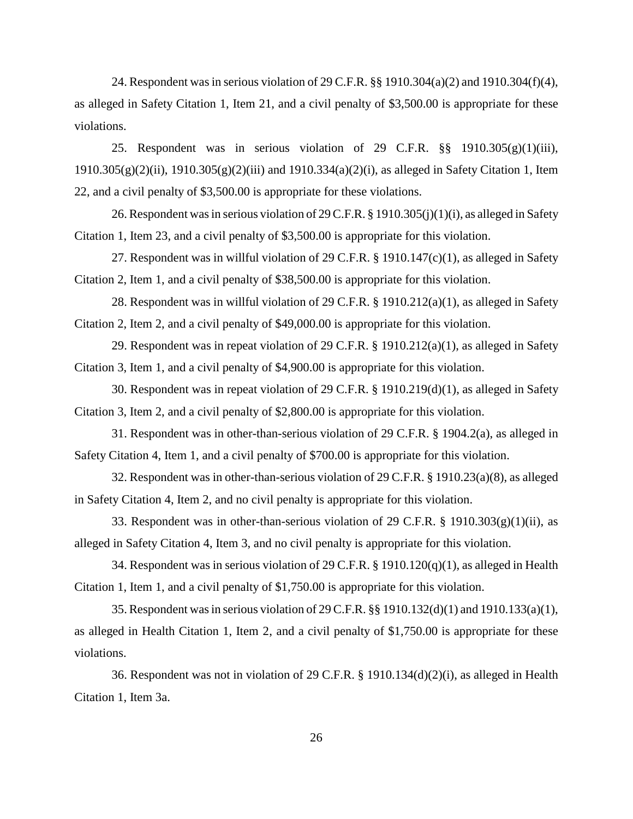24. Respondent was in serious violation of 29 C.F.R. §§ 1910.304(a)(2) and 1910.304(f)(4), as alleged in Safety Citation 1, Item 21, and a civil penalty of \$3,500.00 is appropriate for these violations.

25. Respondent was in serious violation of 29 C.F.R.  $\S\S$  1910.305(g)(1)(iii), 1910.305(g)(2)(ii), 1910.305(g)(2)(iii) and 1910.334(a)(2)(i), as alleged in Safety Citation 1, Item 22, and a civil penalty of \$3,500.00 is appropriate for these violations.

26. Respondent was in serious violation of 29 C.F.R. § 1910.305(j)(1)(i), as alleged in Safety Citation 1, Item 23, and a civil penalty of \$3,500.00 is appropriate for this violation.

27. Respondent was in willful violation of 29 C.F.R. § 1910.147(c)(1), as alleged in Safety Citation 2, Item 1, and a civil penalty of \$38,500.00 is appropriate for this violation.

28. Respondent was in willful violation of 29 C.F.R. § 1910.212(a)(1), as alleged in Safety Citation 2, Item 2, and a civil penalty of \$49,000.00 is appropriate for this violation.

29. Respondent was in repeat violation of 29 C.F.R. § 1910.212(a)(1), as alleged in Safety Citation 3, Item 1, and a civil penalty of \$4,900.00 is appropriate for this violation.

30. Respondent was in repeat violation of 29 C.F.R. § 1910.219(d)(1), as alleged in Safety Citation 3, Item 2, and a civil penalty of \$2,800.00 is appropriate for this violation.

31. Respondent was in other-than-serious violation of 29 C.F.R. § 1904.2(a), as alleged in Safety Citation 4, Item 1, and a civil penalty of \$700.00 is appropriate for this violation.

32. Respondent was in other-than-serious violation of 29 C.F.R. § 1910.23(a)(8), as alleged in Safety Citation 4, Item 2, and no civil penalty is appropriate for this violation.

33. Respondent was in other-than-serious violation of 29 C.F.R. § 1910.303(g)(1)(ii), as alleged in Safety Citation 4, Item 3, and no civil penalty is appropriate for this violation.

34. Respondent was in serious violation of 29 C.F.R. § 1910.120(q)(1), as alleged in Health Citation 1, Item 1, and a civil penalty of \$1,750.00 is appropriate for this violation.

35. Respondent was in serious violation of 29 C.F.R. §§ 1910.132(d)(1) and 1910.133(a)(1), as alleged in Health Citation 1, Item 2, and a civil penalty of \$1,750.00 is appropriate for these violations.

36. Respondent was not in violation of 29 C.F.R. § 1910.134(d)(2)(i), as alleged in Health Citation 1, Item 3a.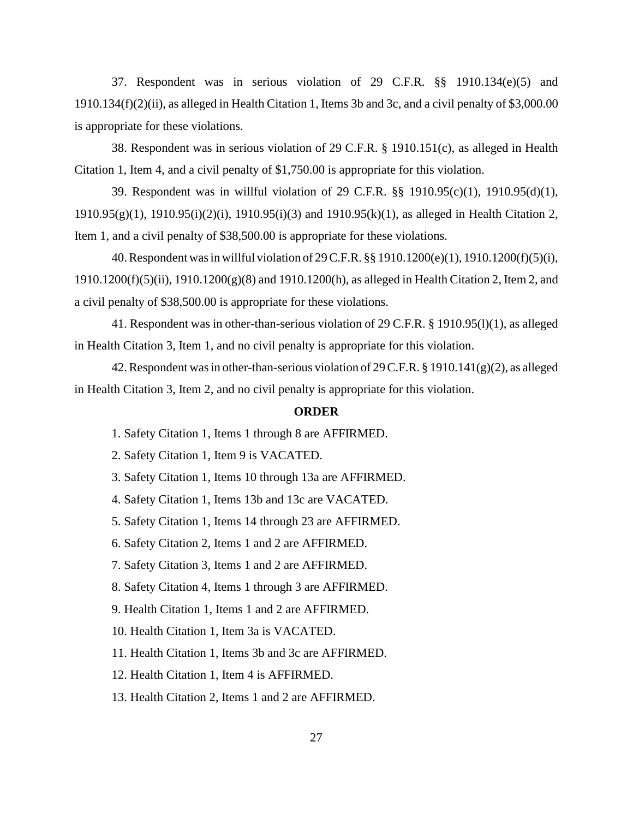37. Respondent was in serious violation of 29 C.F.R. §§ 1910.134(e)(5) and 1910.134(f)(2)(ii), as alleged in Health Citation 1, Items 3b and 3c, and a civil penalty of \$3,000.00 is appropriate for these violations.

38. Respondent was in serious violation of 29 C.F.R. § 1910.151(c), as alleged in Health Citation 1, Item 4, and a civil penalty of \$1,750.00 is appropriate for this violation.

39. Respondent was in willful violation of 29 C.F.R. §§ 1910.95(c)(1), 1910.95(d)(1), 1910.95(g)(1), 1910.95(i)(2)(i), 1910.95(i)(3) and 1910.95(k)(1), as alleged in Health Citation 2, Item 1, and a civil penalty of \$38,500.00 is appropriate for these violations.

40. Respondent was in willful violation of 29 C.F.R. §§ 1910.1200(e)(1), 1910.1200(f)(5)(i),  $1910.1200(f)(5)(ii)$ ,  $1910.1200(g)(8)$  and  $1910.1200(h)$ , as alleged in Health Citation 2, Item 2, and a civil penalty of \$38,500.00 is appropriate for these violations.

41. Respondent was in other-than-serious violation of 29 C.F.R. § 1910.95(l)(1), as alleged in Health Citation 3, Item 1, and no civil penalty is appropriate for this violation.

42. Respondent was in other-than-serious violation of 29 C.F.R. § 1910.141(g)(2), as alleged in Health Citation 3, Item 2, and no civil penalty is appropriate for this violation.

# **ORDER**

- 1. Safety Citation 1, Items 1 through 8 are AFFIRMED.
- 2. Safety Citation 1, Item 9 is VACATED.
- 3. Safety Citation 1, Items 10 through 13a are AFFIRMED.
- 4. Safety Citation 1, Items 13b and 13c are VACATED.
- 5. Safety Citation 1, Items 14 through 23 are AFFIRMED.
- 6. Safety Citation 2, Items 1 and 2 are AFFIRMED.
- 7. Safety Citation 3, Items 1 and 2 are AFFIRMED.
- 8. Safety Citation 4, Items 1 through 3 are AFFIRMED.
- 9. Health Citation 1, Items 1 and 2 are AFFIRMED.
- 10. Health Citation 1, Item 3a is VACATED.
- 11. Health Citation 1, Items 3b and 3c are AFFIRMED.
- 12. Health Citation 1, Item 4 is AFFIRMED.
- 13. Health Citation 2, Items 1 and 2 are AFFIRMED.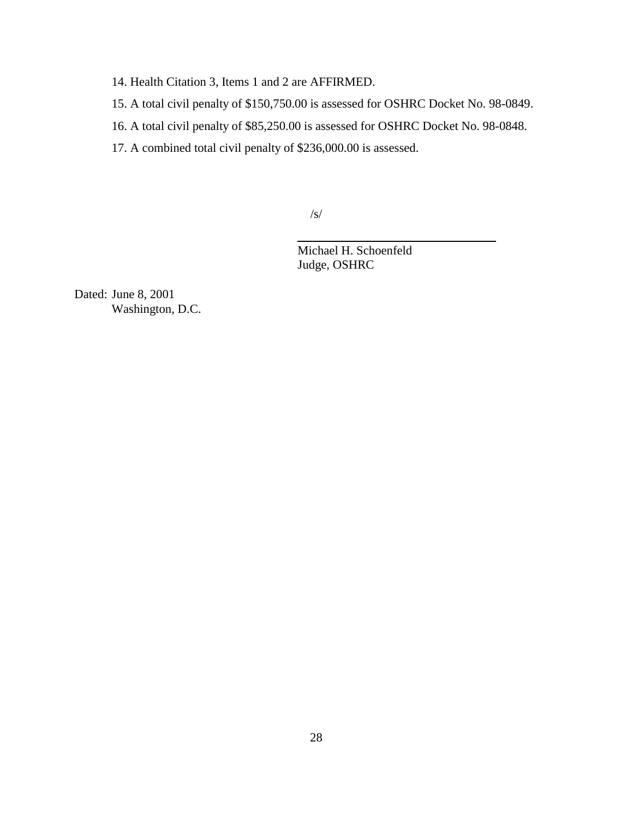- 14. Health Citation 3, Items 1 and 2 are AFFIRMED.
- 15. A total civil penalty of \$150,750.00 is assessed for OSHRC Docket No. 98-0849.
- 16. A total civil penalty of \$85,250.00 is assessed for OSHRC Docket No. 98-0848.
- 17. A combined total civil penalty of \$236,000.00 is assessed.

 $/S/$ 

Michael H. Schoenfeld Judge, OSHRC

Dated: June 8, 2001 Washington, D.C.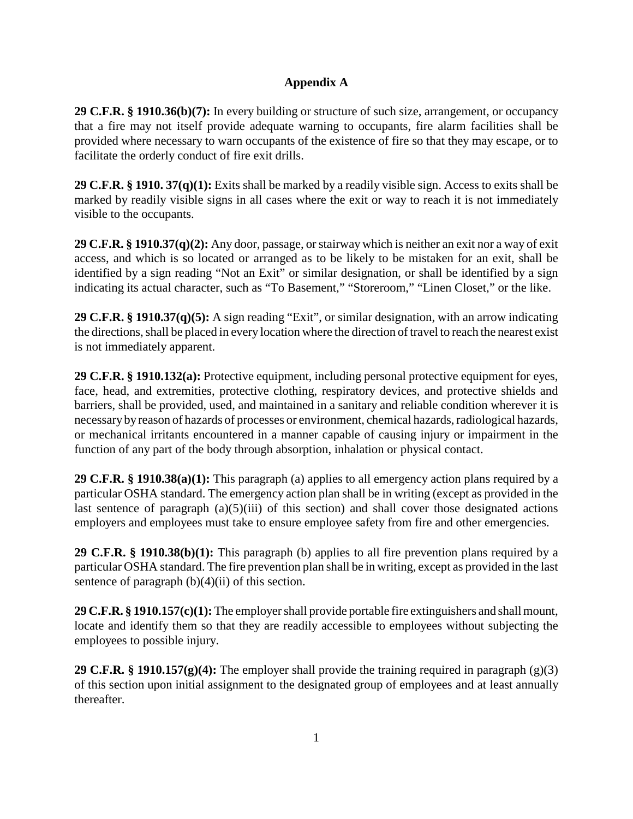# **Appendix A**

**29 C.F.R. § 1910.36(b)(7):** In every building or structure of such size, arrangement, or occupancy that a fire may not itself provide adequate warning to occupants, fire alarm facilities shall be provided where necessary to warn occupants of the existence of fire so that they may escape, or to facilitate the orderly conduct of fire exit drills.

**29 C.F.R. § 1910. 37(q)(1):** Exits shall be marked by a readily visible sign. Access to exits shall be marked by readily visible signs in all cases where the exit or way to reach it is not immediately visible to the occupants.

**29 C.F.R. § 1910.37(q)(2):** Any door, passage, or stairway which is neither an exit nor a way of exit access, and which is so located or arranged as to be likely to be mistaken for an exit, shall be identified by a sign reading "Not an Exit" or similar designation, or shall be identified by a sign indicating its actual character, such as "To Basement," "Storeroom," "Linen Closet," or the like.

**29 C.F.R. § 1910.37(q)(5):** A sign reading "Exit", or similar designation, with an arrow indicating the directions, shall be placed in every location where the direction of travel to reach the nearest exist is not immediately apparent.

**29 C.F.R. § 1910.132(a):** Protective equipment, including personal protective equipment for eyes, face, head, and extremities, protective clothing, respiratory devices, and protective shields and barriers, shall be provided, used, and maintained in a sanitary and reliable condition wherever it is necessary by reason of hazards of processes or environment, chemical hazards, radiological hazards, or mechanical irritants encountered in a manner capable of causing injury or impairment in the function of any part of the body through absorption, inhalation or physical contact.

**29 C.F.R. § 1910.38(a)(1):** This paragraph (a) applies to all emergency action plans required by a particular OSHA standard. The emergency action plan shall be in writing (except as provided in the last sentence of paragraph  $(a)(5)(iii)$  of this section) and shall cover those designated actions employers and employees must take to ensure employee safety from fire and other emergencies.

**29 C.F.R. § 1910.38(b)(1):** This paragraph (b) applies to all fire prevention plans required by a particular OSHA standard. The fire prevention plan shall be in writing, except as provided in the last sentence of paragraph  $(b)(4)(ii)$  of this section.

**29 C.F.R. § 1910.157(c)(1):** The employer shall provide portable fire extinguishers and shall mount, locate and identify them so that they are readily accessible to employees without subjecting the employees to possible injury.

**29 C.F.R. § 1910.157(g)(4):** The employer shall provide the training required in paragraph (g)(3) of this section upon initial assignment to the designated group of employees and at least annually thereafter.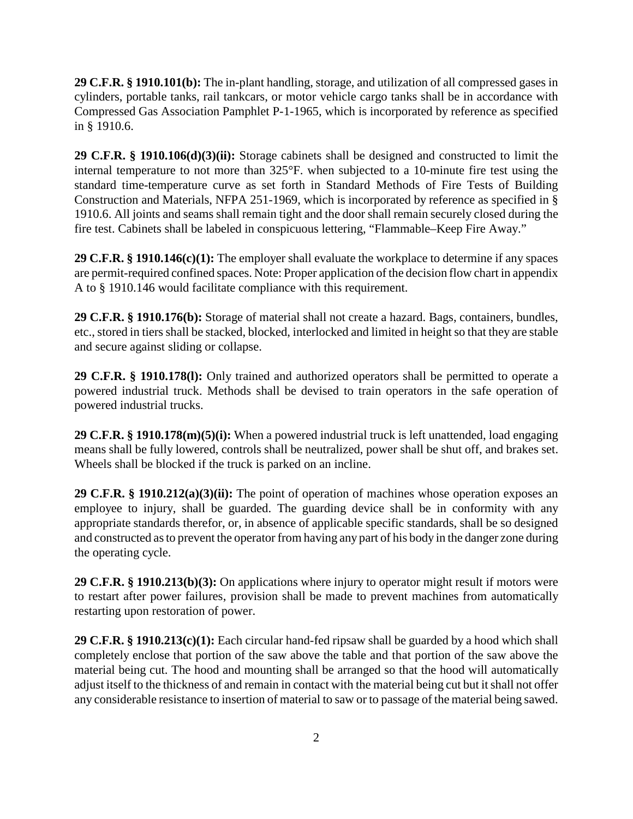**29 C.F.R. § 1910.101(b):** The in-plant handling, storage, and utilization of all compressed gases in cylinders, portable tanks, rail tankcars, or motor vehicle cargo tanks shall be in accordance with Compressed Gas Association Pamphlet P-1-1965, which is incorporated by reference as specified in § 1910.6.

**29 C.F.R. § 1910.106(d)(3)(ii):** Storage cabinets shall be designed and constructed to limit the internal temperature to not more than 325°F. when subjected to a 10-minute fire test using the standard time-temperature curve as set forth in Standard Methods of Fire Tests of Building Construction and Materials, NFPA 251-1969, which is incorporated by reference as specified in § 1910.6. All joints and seams shall remain tight and the door shall remain securely closed during the fire test. Cabinets shall be labeled in conspicuous lettering, "Flammable–Keep Fire Away."

**29 C.F.R. § 1910.146(c)(1):** The employer shall evaluate the workplace to determine if any spaces are permit-required confined spaces. Note: Proper application of the decision flow chart in appendix A to § 1910.146 would facilitate compliance with this requirement.

**29 C.F.R. § 1910.176(b):** Storage of material shall not create a hazard. Bags, containers, bundles, etc., stored in tiers shall be stacked, blocked, interlocked and limited in height so that they are stable and secure against sliding or collapse.

**29 C.F.R. § 1910.178(l):** Only trained and authorized operators shall be permitted to operate a powered industrial truck. Methods shall be devised to train operators in the safe operation of powered industrial trucks.

**29 C.F.R. § 1910.178(m)(5)(i):** When a powered industrial truck is left unattended, load engaging means shall be fully lowered, controls shall be neutralized, power shall be shut off, and brakes set. Wheels shall be blocked if the truck is parked on an incline.

**29 C.F.R. § 1910.212(a)(3)(ii):** The point of operation of machines whose operation exposes an employee to injury, shall be guarded. The guarding device shall be in conformity with any appropriate standards therefor, or, in absence of applicable specific standards, shall be so designed and constructed as to prevent the operator from having any part of his body in the danger zone during the operating cycle.

**29 C.F.R. § 1910.213(b)(3):** On applications where injury to operator might result if motors were to restart after power failures, provision shall be made to prevent machines from automatically restarting upon restoration of power.

**29 C.F.R. § 1910.213(c)(1):** Each circular hand-fed ripsaw shall be guarded by a hood which shall completely enclose that portion of the saw above the table and that portion of the saw above the material being cut. The hood and mounting shall be arranged so that the hood will automatically adjust itself to the thickness of and remain in contact with the material being cut but it shall not offer any considerable resistance to insertion of material to saw or to passage of the material being sawed.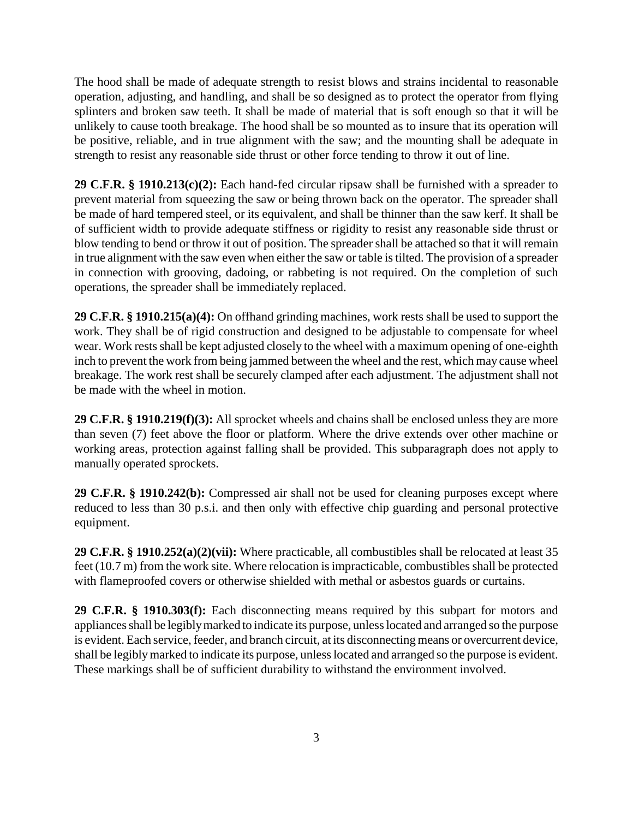The hood shall be made of adequate strength to resist blows and strains incidental to reasonable operation, adjusting, and handling, and shall be so designed as to protect the operator from flying splinters and broken saw teeth. It shall be made of material that is soft enough so that it will be unlikely to cause tooth breakage. The hood shall be so mounted as to insure that its operation will be positive, reliable, and in true alignment with the saw; and the mounting shall be adequate in strength to resist any reasonable side thrust or other force tending to throw it out of line.

**29 C.F.R. § 1910.213(c)(2):** Each hand-fed circular ripsaw shall be furnished with a spreader to prevent material from squeezing the saw or being thrown back on the operator. The spreader shall be made of hard tempered steel, or its equivalent, and shall be thinner than the saw kerf. It shall be of sufficient width to provide adequate stiffness or rigidity to resist any reasonable side thrust or blow tending to bend or throw it out of position. The spreader shall be attached so that it will remain in true alignment with the saw even when either the saw or table is tilted. The provision of a spreader in connection with grooving, dadoing, or rabbeting is not required. On the completion of such operations, the spreader shall be immediately replaced.

**29 C.F.R. § 1910.215(a)(4):** On offhand grinding machines, work rests shall be used to support the work. They shall be of rigid construction and designed to be adjustable to compensate for wheel wear. Work rests shall be kept adjusted closely to the wheel with a maximum opening of one-eighth inch to prevent the work from being jammed between the wheel and the rest, which may cause wheel breakage. The work rest shall be securely clamped after each adjustment. The adjustment shall not be made with the wheel in motion.

**29 C.F.R. § 1910.219(f)(3):** All sprocket wheels and chains shall be enclosed unless they are more than seven (7) feet above the floor or platform. Where the drive extends over other machine or working areas, protection against falling shall be provided. This subparagraph does not apply to manually operated sprockets.

**29 C.F.R. § 1910.242(b):** Compressed air shall not be used for cleaning purposes except where reduced to less than 30 p.s.i. and then only with effective chip guarding and personal protective equipment.

**29 C.F.R. § 1910.252(a)(2)(vii):** Where practicable, all combustibles shall be relocated at least 35 feet (10.7 m) from the work site. Where relocation is impracticable, combustibles shall be protected with flameproofed covers or otherwise shielded with methal or asbestos guards or curtains.

**29 C.F.R. § 1910.303(f):** Each disconnecting means required by this subpart for motors and appliances shall be legiblymarked to indicate its purpose, unless located and arranged so the purpose is evident. Each service, feeder, and branch circuit, at its disconnecting means or overcurrent device, shall be legibly marked to indicate its purpose, unless located and arranged so the purpose is evident. These markings shall be of sufficient durability to withstand the environment involved.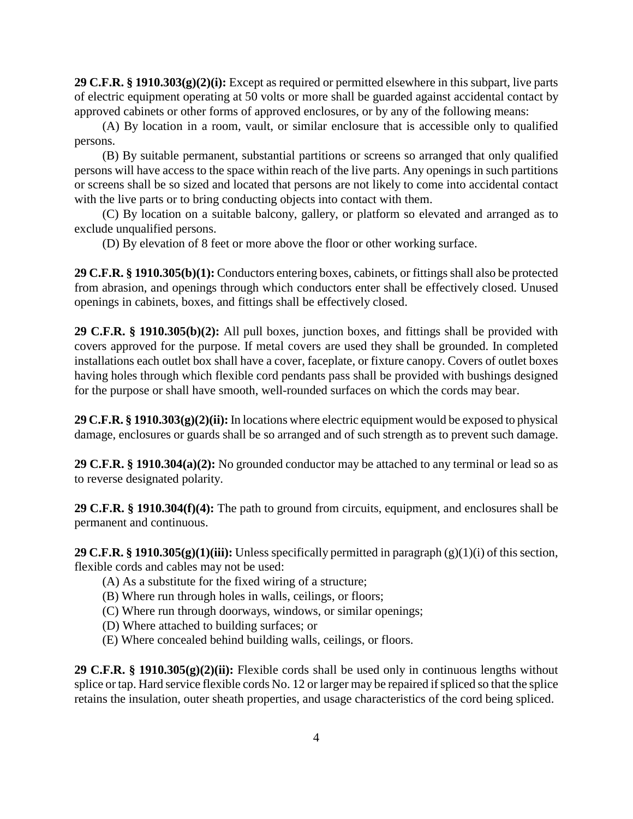**29 C.F.R. § 1910.303(g)(2)(i):** Except as required or permitted elsewhere in this subpart, live parts of electric equipment operating at 50 volts or more shall be guarded against accidental contact by approved cabinets or other forms of approved enclosures, or by any of the following means:

(A) By location in a room, vault, or similar enclosure that is accessible only to qualified persons.

(B) By suitable permanent, substantial partitions or screens so arranged that only qualified persons will have access to the space within reach of the live parts. Any openings in such partitions or screens shall be so sized and located that persons are not likely to come into accidental contact with the live parts or to bring conducting objects into contact with them.

(C) By location on a suitable balcony, gallery, or platform so elevated and arranged as to exclude unqualified persons.

(D) By elevation of 8 feet or more above the floor or other working surface.

**29 C.F.R. § 1910.305(b)(1):** Conductors entering boxes, cabinets, or fittings shall also be protected from abrasion, and openings through which conductors enter shall be effectively closed. Unused openings in cabinets, boxes, and fittings shall be effectively closed.

**29 C.F.R. § 1910.305(b)(2):** All pull boxes, junction boxes, and fittings shall be provided with covers approved for the purpose. If metal covers are used they shall be grounded. In completed installations each outlet box shall have a cover, faceplate, or fixture canopy. Covers of outlet boxes having holes through which flexible cord pendants pass shall be provided with bushings designed for the purpose or shall have smooth, well-rounded surfaces on which the cords may bear.

**29 C.F.R. § 1910.303(g)(2)(ii):** In locations where electric equipment would be exposed to physical damage, enclosures or guards shall be so arranged and of such strength as to prevent such damage.

**29 C.F.R. § 1910.304(a)(2):** No grounded conductor may be attached to any terminal or lead so as to reverse designated polarity.

**29 C.F.R. § 1910.304(f)(4):** The path to ground from circuits, equipment, and enclosures shall be permanent and continuous.

**29 C.F.R. § 1910.305(g)(1)(iii):** Unless specifically permitted in paragraph (g)(1)(i) of this section, flexible cords and cables may not be used:

- (A) As a substitute for the fixed wiring of a structure;
- (B) Where run through holes in walls, ceilings, or floors;
- (C) Where run through doorways, windows, or similar openings;
- (D) Where attached to building surfaces; or
- (E) Where concealed behind building walls, ceilings, or floors.

**29 C.F.R. § 1910.305(g)(2)(ii):** Flexible cords shall be used only in continuous lengths without splice or tap. Hard service flexible cords No. 12 or larger may be repaired if spliced so that the splice retains the insulation, outer sheath properties, and usage characteristics of the cord being spliced.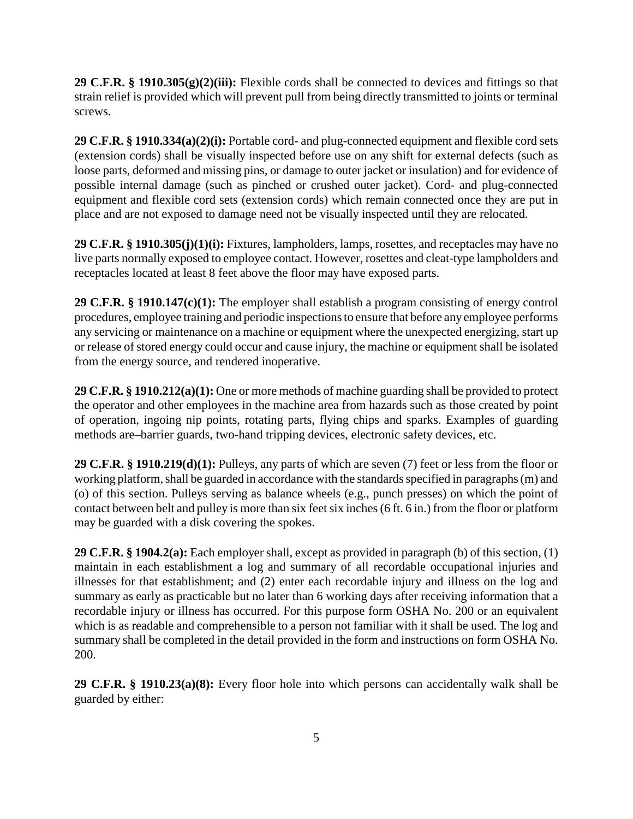**29 C.F.R. § 1910.305(g)(2)(iii):** Flexible cords shall be connected to devices and fittings so that strain relief is provided which will prevent pull from being directly transmitted to joints or terminal screws.

**29 C.F.R. § 1910.334(a)(2)(i):** Portable cord- and plug-connected equipment and flexible cord sets (extension cords) shall be visually inspected before use on any shift for external defects (such as loose parts, deformed and missing pins, or damage to outer jacket or insulation) and for evidence of possible internal damage (such as pinched or crushed outer jacket). Cord- and plug-connected equipment and flexible cord sets (extension cords) which remain connected once they are put in place and are not exposed to damage need not be visually inspected until they are relocated.

**29 C.F.R. § 1910.305(j)(1)(i):** Fixtures, lampholders, lamps, rosettes, and receptacles may have no live parts normally exposed to employee contact. However, rosettes and cleat-type lampholders and receptacles located at least 8 feet above the floor may have exposed parts.

**29 C.F.R. § 1910.147(c)(1):** The employer shall establish a program consisting of energy control procedures, employee training and periodic inspections to ensure that before any employee performs any servicing or maintenance on a machine or equipment where the unexpected energizing, start up or release of stored energy could occur and cause injury, the machine or equipment shall be isolated from the energy source, and rendered inoperative.

**29 C.F.R. § 1910.212(a)(1):** One or more methods of machine guarding shall be provided to protect the operator and other employees in the machine area from hazards such as those created by point of operation, ingoing nip points, rotating parts, flying chips and sparks. Examples of guarding methods are–barrier guards, two-hand tripping devices, electronic safety devices, etc.

**29 C.F.R. § 1910.219(d)(1):** Pulleys, any parts of which are seven (7) feet or less from the floor or working platform, shall be guarded in accordance with the standards specified in paragraphs (m) and (o) of this section. Pulleys serving as balance wheels (e.g., punch presses) on which the point of contact between belt and pulley is more than six feet six inches (6 ft. 6 in.) from the floor or platform may be guarded with a disk covering the spokes.

**29 C.F.R. § 1904.2(a):** Each employer shall, except as provided in paragraph (b) of this section, (1) maintain in each establishment a log and summary of all recordable occupational injuries and illnesses for that establishment; and (2) enter each recordable injury and illness on the log and summary as early as practicable but no later than 6 working days after receiving information that a recordable injury or illness has occurred. For this purpose form OSHA No. 200 or an equivalent which is as readable and comprehensible to a person not familiar with it shall be used. The log and summary shall be completed in the detail provided in the form and instructions on form OSHA No. 200.

**29 C.F.R. § 1910.23(a)(8):** Every floor hole into which persons can accidentally walk shall be guarded by either: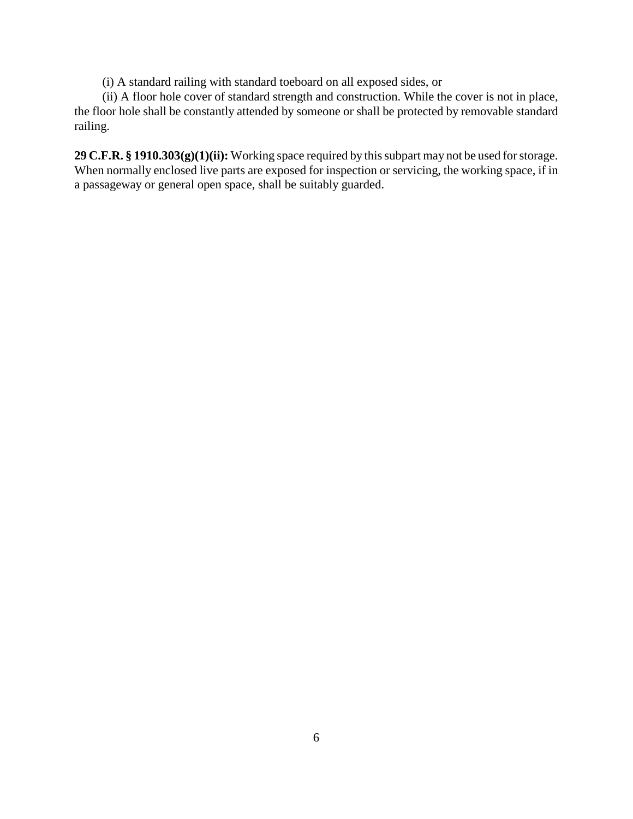(i) A standard railing with standard toeboard on all exposed sides, or

(ii) A floor hole cover of standard strength and construction. While the cover is not in place, the floor hole shall be constantly attended by someone or shall be protected by removable standard railing.

**29 C.F.R. § 1910.303(g)(1)(ii):** Working space required by this subpart may not be used for storage. When normally enclosed live parts are exposed for inspection or servicing, the working space, if in a passageway or general open space, shall be suitably guarded.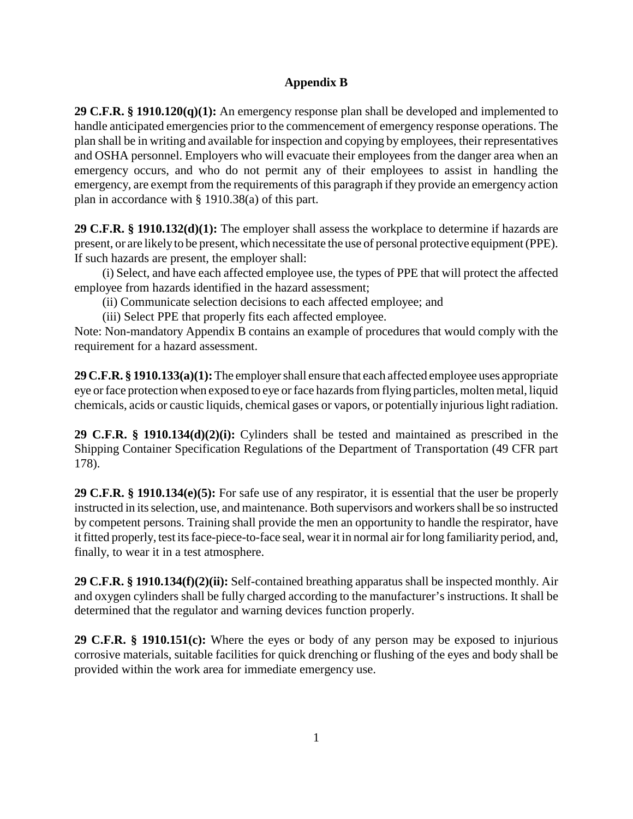# **Appendix B**

**29 C.F.R. § 1910.120(q)(1):** An emergency response plan shall be developed and implemented to handle anticipated emergencies prior to the commencement of emergency response operations. The plan shall be in writing and available for inspection and copying by employees, their representatives and OSHA personnel. Employers who will evacuate their employees from the danger area when an emergency occurs, and who do not permit any of their employees to assist in handling the emergency, are exempt from the requirements of this paragraph if they provide an emergency action plan in accordance with § 1910.38(a) of this part.

**29 C.F.R. § 1910.132(d)(1):** The employer shall assess the workplace to determine if hazards are present, or are likelyto be present, which necessitate the use of personal protective equipment (PPE). If such hazards are present, the employer shall:

(i) Select, and have each affected employee use, the types of PPE that will protect the affected employee from hazards identified in the hazard assessment;

(ii) Communicate selection decisions to each affected employee; and

(iii) Select PPE that properly fits each affected employee.

Note: Non-mandatory Appendix B contains an example of procedures that would comply with the requirement for a hazard assessment.

**29 C.F.R. § 1910.133(a)(1):** The employer shall ensure that each affected employee uses appropriate eye or face protection when exposed to eye or face hazards from flying particles, molten metal, liquid chemicals, acids or caustic liquids, chemical gases or vapors, or potentially injurious light radiation.

**29 C.F.R. § 1910.134(d)(2)(i):** Cylinders shall be tested and maintained as prescribed in the Shipping Container Specification Regulations of the Department of Transportation (49 CFR part 178).

**29 C.F.R. § 1910.134(e)(5):** For safe use of any respirator, it is essential that the user be properly instructed in its selection, use, and maintenance. Both supervisors and workers shall be so instructed by competent persons. Training shall provide the men an opportunity to handle the respirator, have it fitted properly, test its face-piece-to-face seal, wear it in normal air for long familiarity period, and, finally, to wear it in a test atmosphere.

**29 C.F.R. § 1910.134(f)(2)(ii):** Self-contained breathing apparatus shall be inspected monthly. Air and oxygen cylinders shall be fully charged according to the manufacturer's instructions. It shall be determined that the regulator and warning devices function properly.

**29 C.F.R. § 1910.151(c):** Where the eyes or body of any person may be exposed to injurious corrosive materials, suitable facilities for quick drenching or flushing of the eyes and body shall be provided within the work area for immediate emergency use.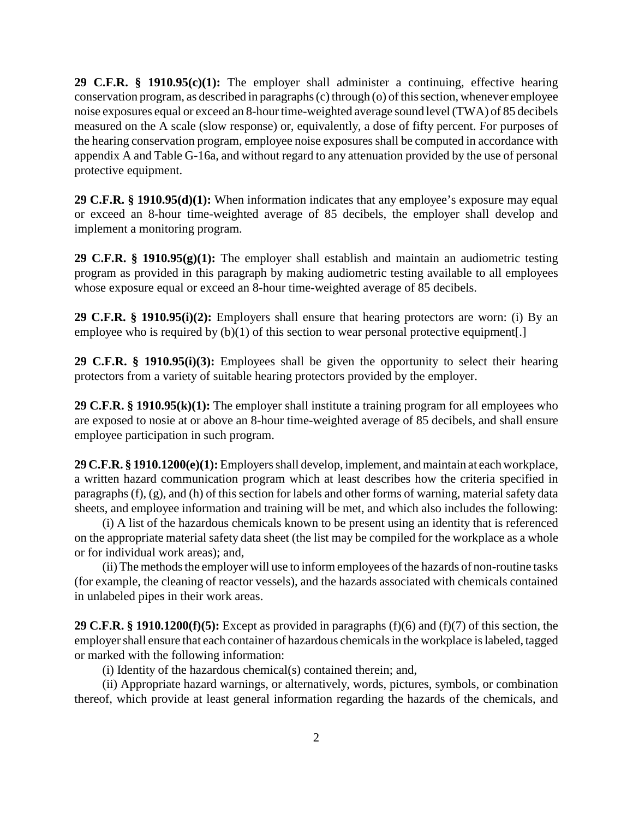**29 C.F.R. § 1910.95(c)(1):** The employer shall administer a continuing, effective hearing conservation program, as described in paragraphs (c) through (o) of this section, whenever employee noise exposures equal or exceed an 8-hour time-weighted average sound level (TWA) of 85 decibels measured on the A scale (slow response) or, equivalently, a dose of fifty percent. For purposes of the hearing conservation program, employee noise exposures shall be computed in accordance with appendix A and Table G-16a, and without regard to any attenuation provided by the use of personal protective equipment.

**29 C.F.R. § 1910.95(d)(1):** When information indicates that any employee's exposure may equal or exceed an 8-hour time-weighted average of 85 decibels, the employer shall develop and implement a monitoring program.

**29 C.F.R. § 1910.95(g)(1):** The employer shall establish and maintain an audiometric testing program as provided in this paragraph by making audiometric testing available to all employees whose exposure equal or exceed an 8-hour time-weighted average of 85 decibels.

**29 C.F.R. § 1910.95(i)(2):** Employers shall ensure that hearing protectors are worn: (i) By an employee who is required by  $(b)(1)$  of this section to wear personal protective equipment.

**29 C.F.R. § 1910.95(i)(3):** Employees shall be given the opportunity to select their hearing protectors from a variety of suitable hearing protectors provided by the employer.

**29 C.F.R. § 1910.95(k)(1):** The employer shall institute a training program for all employees who are exposed to nosie at or above an 8-hour time-weighted average of 85 decibels, and shall ensure employee participation in such program.

**29 C.F.R. § 1910.1200(e)(1):** Employers shall develop, implement, and maintain at each workplace, a written hazard communication program which at least describes how the criteria specified in paragraphs (f), (g), and (h) of this section for labels and other forms of warning, material safety data sheets, and employee information and training will be met, and which also includes the following:

(i) A list of the hazardous chemicals known to be present using an identity that is referenced on the appropriate material safety data sheet (the list may be compiled for the workplace as a whole or for individual work areas); and,

(ii) The methods the employer will use to inform employees of the hazards of non-routine tasks (for example, the cleaning of reactor vessels), and the hazards associated with chemicals contained in unlabeled pipes in their work areas.

**29 C.F.R. § 1910.1200(f)(5):** Except as provided in paragraphs (f)(6) and (f)(7) of this section, the employer shall ensure that each container of hazardous chemicals in the workplace is labeled, tagged or marked with the following information:

(i) Identity of the hazardous chemical(s) contained therein; and,

(ii) Appropriate hazard warnings, or alternatively, words, pictures, symbols, or combination thereof, which provide at least general information regarding the hazards of the chemicals, and